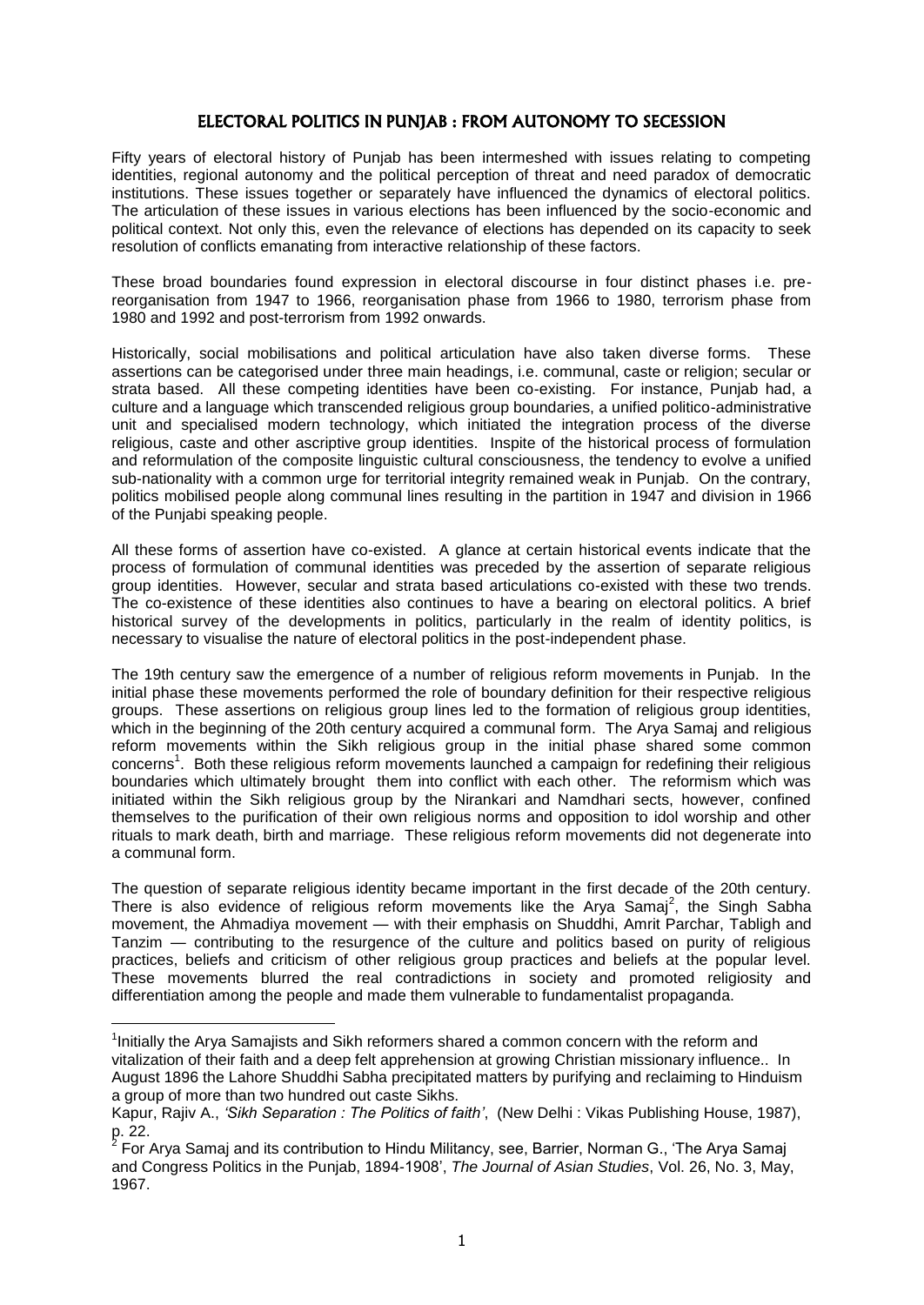# ELECTORAL POLITICS IN PUNJAB : FROM AUTONOMY TO SECESSION

Fifty years of electoral history of Punjab has been intermeshed with issues relating to competing identities, regional autonomy and the political perception of threat and need paradox of democratic institutions. These issues together or separately have influenced the dynamics of electoral politics. The articulation of these issues in various elections has been influenced by the socio-economic and political context. Not only this, even the relevance of elections has depended on its capacity to seek resolution of conflicts emanating from interactive relationship of these factors.

These broad boundaries found expression in electoral discourse in four distinct phases i.e. prereorganisation from 1947 to 1966, reorganisation phase from 1966 to 1980, terrorism phase from 1980 and 1992 and post-terrorism from 1992 onwards.

Historically, social mobilisations and political articulation have also taken diverse forms. These assertions can be categorised under three main headings, i.e. communal, caste or religion; secular or strata based. All these competing identities have been co-existing. For instance, Punjab had, a culture and a language which transcended religious group boundaries, a unified politico-administrative unit and specialised modern technology, which initiated the integration process of the diverse religious, caste and other ascriptive group identities. Inspite of the historical process of formulation and reformulation of the composite linguistic cultural consciousness, the tendency to evolve a unified sub-nationality with a common urge for territorial integrity remained weak in Punjab. On the contrary, politics mobilised people along communal lines resulting in the partition in 1947 and division in 1966 of the Punjabi speaking people.

All these forms of assertion have co-existed. A glance at certain historical events indicate that the process of formulation of communal identities was preceded by the assertion of separate religious group identities. However, secular and strata based articulations co-existed with these two trends. The co-existence of these identities also continues to have a bearing on electoral politics. A brief historical survey of the developments in politics, particularly in the realm of identity politics, is necessary to visualise the nature of electoral politics in the post-independent phase.

The 19th century saw the emergence of a number of religious reform movements in Punjab. In the initial phase these movements performed the role of boundary definition for their respective religious groups. These assertions on religious group lines led to the formation of religious group identities, which in the beginning of the 20th century acquired a communal form. The Arya Samaj and religious reform movements within the Sikh religious group in the initial phase shared some common concerns<sup>1</sup>. Both these religious reform movements launched a campaign for redefining their religious boundaries which ultimately brought them into conflict with each other. The reformism which was initiated within the Sikh religious group by the Nirankari and Namdhari sects, however, confined themselves to the purification of their own religious norms and opposition to idol worship and other rituals to mark death, birth and marriage. These religious reform movements did not degenerate into a communal form.

The question of separate religious identity became important in the first decade of the 20th century. There is also evidence of religious reform movements like the Arya Samaj<sup>2</sup>, the Singh Sabha movement, the Ahmadiya movement — with their emphasis on Shuddhi, Amrit Parchar, Tabligh and Tanzim — contributing to the resurgence of the culture and politics based on purity of religious practices, beliefs and criticism of other religious group practices and beliefs at the popular level. These movements blurred the real contradictions in society and promoted religiosity and differentiation among the people and made them vulnerable to fundamentalist propaganda.

<sup>&</sup>lt;sup>1</sup>Initially the Arya Samajists and Sikh reformers shared a common concern with the reform and vitalization of their faith and a deep felt apprehension at growing Christian missionary influence.. In August 1896 the Lahore Shuddhi Sabha precipitated matters by purifying and reclaiming to Hinduism a group of more than two hundred out caste Sikhs.

Kapur, Rajiv A., *'Sikh Separation : The Politics of faith'*, (New Delhi : Vikas Publishing House, 1987),

p. 22.<br><sup>2</sup> For Arya Samaj and its contribution to Hindu Militancy, see, Barrier, Norman G., 'The Arya Samaj and Congress Politics in the Punjab, 1894-1908', *The Journal of Asian Studies*, Vol. 26, No. 3, May, 1967.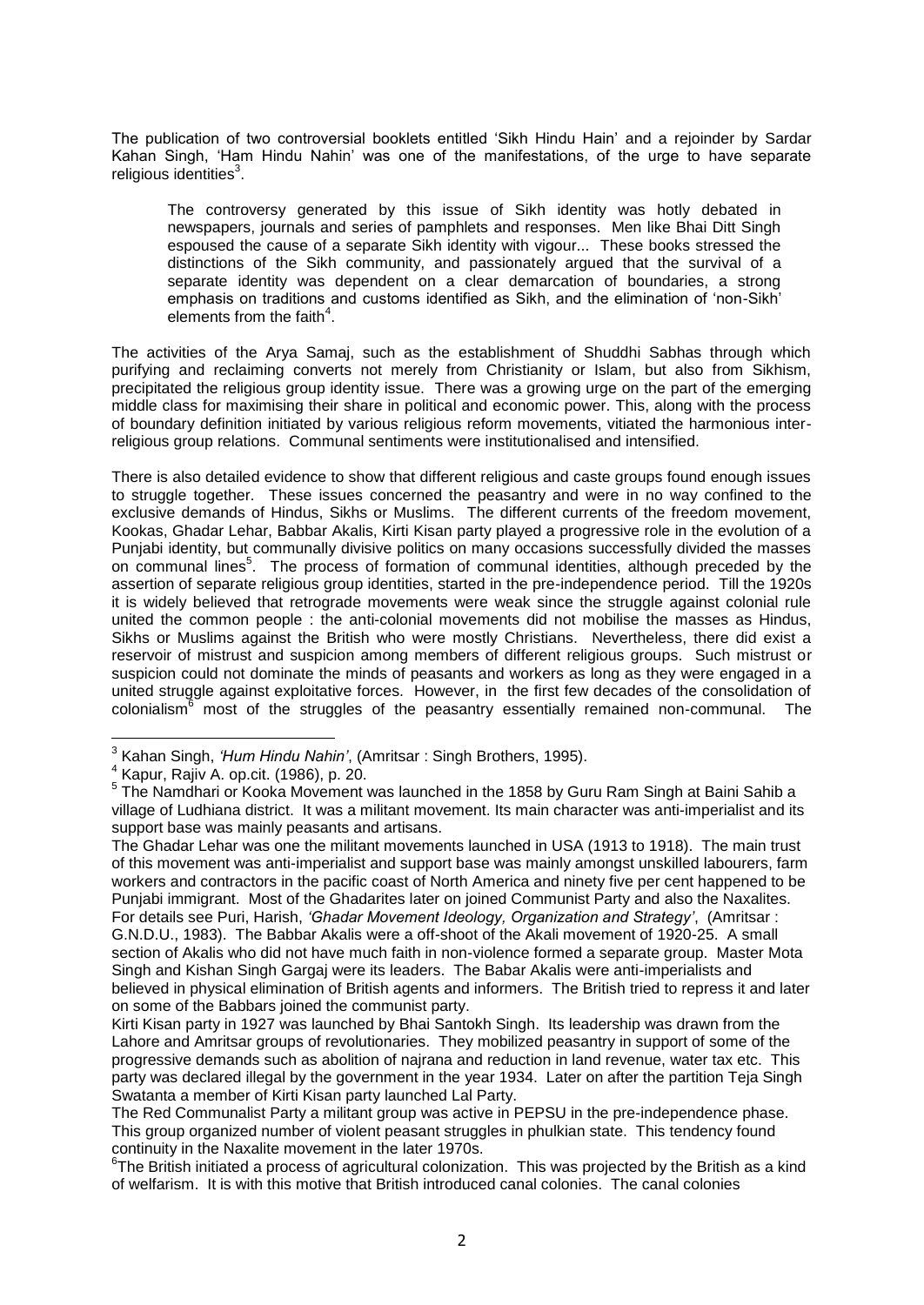The publication of two controversial booklets entitled ‗Sikh Hindu Hain' and a rejoinder by Sardar Kahan Singh, ‗Ham Hindu Nahin' was one of the manifestations, of the urge to have separate religious identities<sup>3</sup>.

The controversy generated by this issue of Sikh identity was hotly debated in newspapers, journals and series of pamphlets and responses. Men like Bhai Ditt Singh espoused the cause of a separate Sikh identity with vigour... These books stressed the distinctions of the Sikh community, and passionately argued that the survival of a separate identity was dependent on a clear demarcation of boundaries, a strong emphasis on traditions and customs identified as Sikh, and the elimination of 'non-Sikh' elements from the faith $4$ .

The activities of the Arya Samaj, such as the establishment of Shuddhi Sabhas through which purifying and reclaiming converts not merely from Christianity or Islam, but also from Sikhism, precipitated the religious group identity issue. There was a growing urge on the part of the emerging middle class for maximising their share in political and economic power. This, along with the process of boundary definition initiated by various religious reform movements, vitiated the harmonious interreligious group relations. Communal sentiments were institutionalised and intensified.

There is also detailed evidence to show that different religious and caste groups found enough issues to struggle together. These issues concerned the peasantry and were in no way confined to the exclusive demands of Hindus, Sikhs or Muslims. The different currents of the freedom movement, Kookas, Ghadar Lehar, Babbar Akalis, Kirti Kisan party played a progressive role in the evolution of a Punjabi identity, but communally divisive politics on many occasions successfully divided the masses on communal lines<sup>5</sup>. The process of formation of communal identities, although preceded by the assertion of separate religious group identities, started in the pre-independence period. Till the 1920s it is widely believed that retrograde movements were weak since the struggle against colonial rule united the common people : the anti-colonial movements did not mobilise the masses as Hindus, Sikhs or Muslims against the British who were mostly Christians. Nevertheless, there did exist a reservoir of mistrust and suspicion among members of different religious groups. Such mistrust or suspicion could not dominate the minds of peasants and workers as long as they were engaged in a united struggle against exploitative forces. However, in the first few decades of the consolidation of colonialism<sup>6</sup> most of the struggles of the peasantry essentially remained non-communal. The

The Ghadar Lehar was one the militant movements launched in USA (1913 to 1918). The main trust of this movement was anti-imperialist and support base was mainly amongst unskilled labourers, farm workers and contractors in the pacific coast of North America and ninety five per cent happened to be Punjabi immigrant. Most of the Ghadarites later on joined Communist Party and also the Naxalites. For details see Puri, Harish, *'Ghadar Movement Ideology, Organization and Strategy'*, (Amritsar : G.N.D.U., 1983). The Babbar Akalis were a off-shoot of the Akali movement of 1920-25. A small section of Akalis who did not have much faith in non-violence formed a separate group. Master Mota Singh and Kishan Singh Gargaj were its leaders. The Babar Akalis were anti-imperialists and believed in physical elimination of British agents and informers. The British tried to repress it and later on some of the Babbars joined the communist party.

Kirti Kisan party in 1927 was launched by Bhai Santokh Singh. Its leadership was drawn from the Lahore and Amritsar groups of revolutionaries. They mobilized peasantry in support of some of the progressive demands such as abolition of najrana and reduction in land revenue, water tax etc. This party was declared illegal by the government in the year 1934. Later on after the partition Teja Singh Swatanta a member of Kirti Kisan party launched Lal Party.

 3 Kahan Singh, *'Hum Hindu Nahin'*, (Amritsar : Singh Brothers, 1995).

<sup>4</sup> Kapur, Rajiv A. op.cit. (1986), p. 20.

<sup>&</sup>lt;sup>5</sup> The Namdhari or Kooka Movement was launched in the 1858 by Guru Ram Singh at Baini Sahib a village of Ludhiana district. It was a militant movement. Its main character was anti-imperialist and its support base was mainly peasants and artisans.

The Red Communalist Party a militant group was active in PEPSU in the pre-independence phase. This group organized number of violent peasant struggles in phulkian state. This tendency found continuity in the Naxalite movement in the later 1970s.

<sup>&</sup>lt;sup>6</sup>The British initiated a process of agricultural colonization. This was projected by the British as a kind of welfarism. It is with this motive that British introduced canal colonies. The canal colonies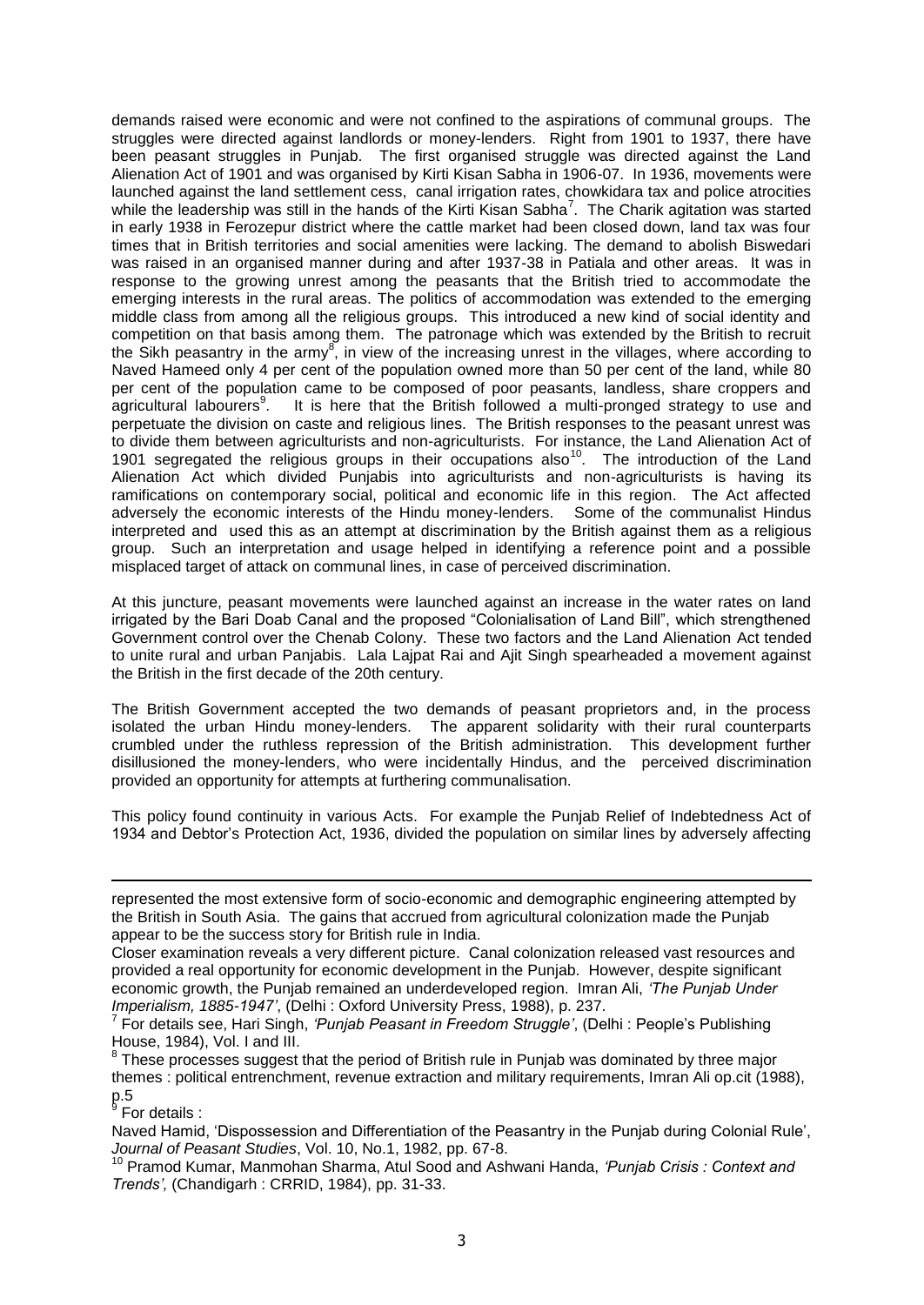demands raised were economic and were not confined to the aspirations of communal groups. The struggles were directed against landlords or money-lenders. Right from 1901 to 1937, there have been peasant struggles in Punjab. The first organised struggle was directed against the Land Alienation Act of 1901 and was organised by Kirti Kisan Sabha in 1906-07. In 1936, movements were launched against the land settlement cess, canal irrigation rates, chowkidara tax and police atrocities while the leadership was still in the hands of the Kirti Kisan Sabha<sup>7</sup>. The Charik agitation was started in early 1938 in Ferozepur district where the cattle market had been closed down, land tax was four times that in British territories and social amenities were lacking. The demand to abolish Biswedari was raised in an organised manner during and after 1937-38 in Patiala and other areas. It was in response to the growing unrest among the peasants that the British tried to accommodate the emerging interests in the rural areas. The politics of accommodation was extended to the emerging middle class from among all the religious groups. This introduced a new kind of social identity and competition on that basis among them. The patronage which was extended by the British to recruit the Sikh peasantry in the army<sup>8</sup>, in view of the increasing unrest in the villages, where according to Naved Hameed only 4 per cent of the population owned more than 50 per cent of the land, while 80 per cent of the population came to be composed of poor peasants, landless, share croppers and agricultural labourers<sup>9</sup>. It is here that the British followed a multi-pronged strategy to use and perpetuate the division on caste and religious lines. The British responses to the peasant unrest was to divide them between agriculturists and non-agriculturists. For instance, the Land Alienation Act of 1901 segregated the religious groups in their occupations also<sup>10</sup>. The introduction of the Land Alienation Act which divided Punjabis into agriculturists and non-agriculturists is having its ramifications on contemporary social, political and economic life in this region. The Act affected adversely the economic interests of the Hindu money-lenders. Some of the communalist Hindus interpreted and used this as an attempt at discrimination by the British against them as a religious group. Such an interpretation and usage helped in identifying a reference point and a possible misplaced target of attack on communal lines, in case of perceived discrimination.

At this juncture, peasant movements were launched against an increase in the water rates on land irrigated by the Bari Doab Canal and the proposed "Colonialisation of Land Bill", which strengthened Government control over the Chenab Colony. These two factors and the Land Alienation Act tended to unite rural and urban Panjabis. Lala Lajpat Rai and Ajit Singh spearheaded a movement against the British in the first decade of the 20th century.

The British Government accepted the two demands of peasant proprietors and, in the process isolated the urban Hindu money-lenders. The apparent solidarity with their rural counterparts crumbled under the ruthless repression of the British administration. This development further disillusioned the money-lenders, who were incidentally Hindus, and the perceived discrimination provided an opportunity for attempts at furthering communalisation.

This policy found continuity in various Acts. For example the Punjab Relief of Indebtedness Act of 1934 and Debtor's Protection Act, 1936, divided the population on similar lines by adversely affecting

For details :

-

Naved Hamid, 'Dispossession and Differentiation of the Peasantry in the Punjab during Colonial Rule', *Journal of Peasant Studies*, Vol. 10, No.1, 1982, pp. 67-8.

<sup>10</sup> Pramod Kumar, Manmohan Sharma, Atul Sood and Ashwani Handa, *'Punjab Crisis : Context and Trends',* (Chandigarh : CRRID, 1984), pp. 31-33.

represented the most extensive form of socio-economic and demographic engineering attempted by the British in South Asia. The gains that accrued from agricultural colonization made the Punjab appear to be the success story for British rule in India.

Closer examination reveals a very different picture. Canal colonization released vast resources and provided a real opportunity for economic development in the Punjab. However, despite significant economic growth, the Punjab remained an underdeveloped region. Imran Ali, *'The Punjab Under Imperialism, 1885-1947'*, (Delhi : Oxford University Press, 1988), p. 237.

<sup>7</sup> For details see, Hari Singh, *'Punjab Peasant in Freedom Struggle'*, (Delhi : People's Publishing House, 1984), Vol. I and III.

 $8$  These processes suggest that the period of British rule in Punjab was dominated by three major themes : political entrenchment, revenue extraction and military requirements, Imran Ali op.cit (1988),  $8\frac{1}{2}$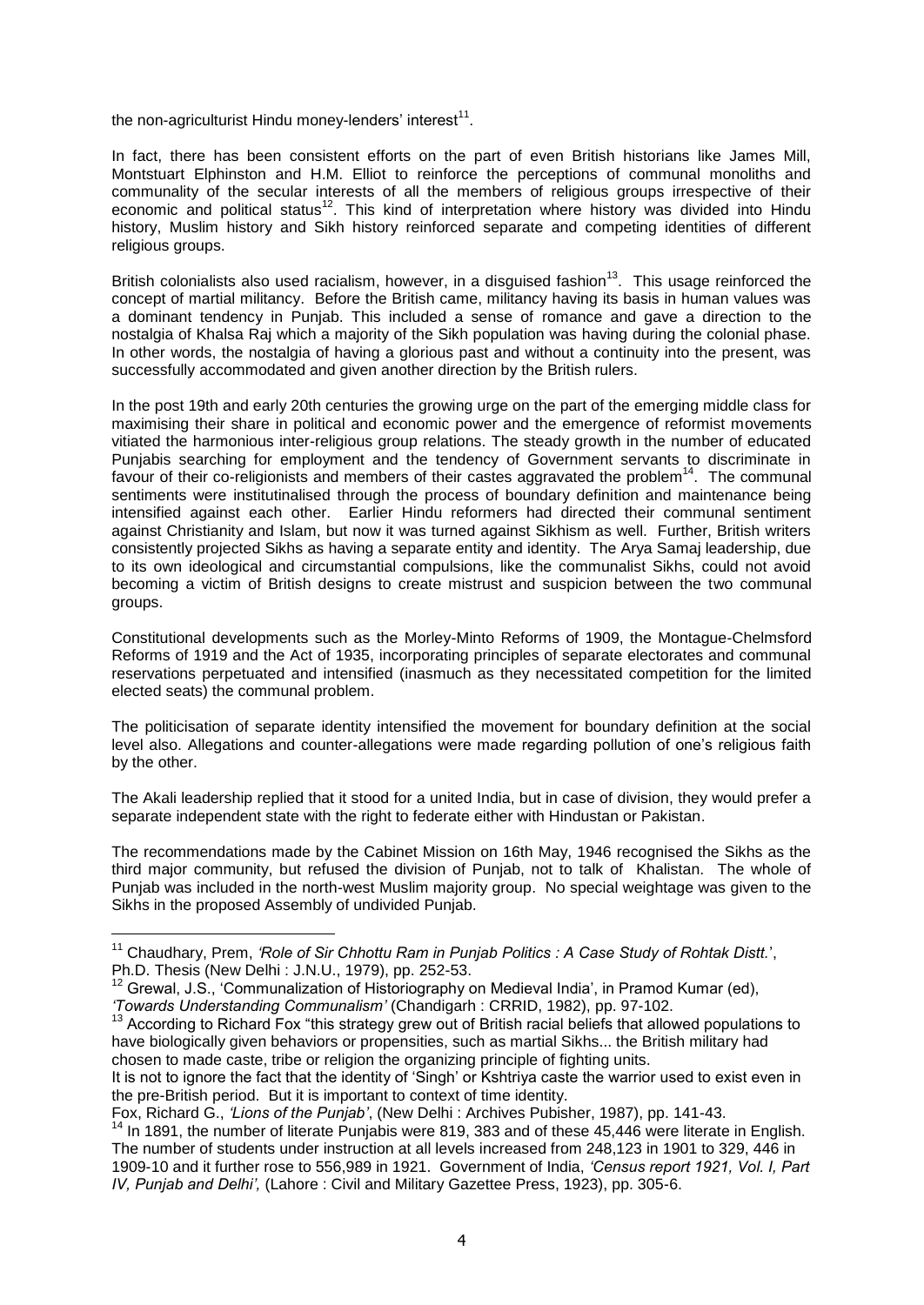the non-agriculturist Hindu money-lenders' interest<sup>11</sup>.

In fact, there has been consistent efforts on the part of even British historians like James Mill, Montstuart Elphinston and H.M. Elliot to reinforce the perceptions of communal monoliths and communality of the secular interests of all the members of religious groups irrespective of their economic and political status<sup>12</sup>. This kind of interpretation where history was divided into Hindu history, Muslim history and Sikh history reinforced separate and competing identities of different religious groups.

British colonialists also used racialism, however, in a disquised fashion<sup>13</sup>. This usage reinforced the concept of martial militancy. Before the British came, militancy having its basis in human values was a dominant tendency in Punjab. This included a sense of romance and gave a direction to the nostalgia of Khalsa Raj which a majority of the Sikh population was having during the colonial phase. In other words, the nostalgia of having a glorious past and without a continuity into the present, was successfully accommodated and given another direction by the British rulers.

In the post 19th and early 20th centuries the growing urge on the part of the emerging middle class for maximising their share in political and economic power and the emergence of reformist movements vitiated the harmonious inter-religious group relations. The steady growth in the number of educated Punjabis searching for employment and the tendency of Government servants to discriminate in favour of their co-religionists and members of their castes aggravated the problem<sup>14</sup>. The communal sentiments were institutinalised through the process of boundary definition and maintenance being intensified against each other. Earlier Hindu reformers had directed their communal sentiment against Christianity and Islam, but now it was turned against Sikhism as well. Further, British writers consistently projected Sikhs as having a separate entity and identity. The Arya Samaj leadership, due to its own ideological and circumstantial compulsions, like the communalist Sikhs, could not avoid becoming a victim of British designs to create mistrust and suspicion between the two communal groups.

Constitutional developments such as the Morley-Minto Reforms of 1909, the Montague-Chelmsford Reforms of 1919 and the Act of 1935, incorporating principles of separate electorates and communal reservations perpetuated and intensified (inasmuch as they necessitated competition for the limited elected seats) the communal problem.

The politicisation of separate identity intensified the movement for boundary definition at the social level also. Allegations and counter-allegations were made regarding pollution of one's religious faith by the other.

The Akali leadership replied that it stood for a united India, but in case of division, they would prefer a separate independent state with the right to federate either with Hindustan or Pakistan.

The recommendations made by the Cabinet Mission on 16th May, 1946 recognised the Sikhs as the third major community, but refused the division of Punjab, not to talk of Khalistan. The whole of Punjab was included in the north-west Muslim majority group. No special weightage was given to the Sikhs in the proposed Assembly of undivided Punjab.

Fox, Richard G., *'Lions of the Punjab'*, (New Delhi : Archives Pubisher, 1987), pp. 141-43.

<sup>-</sup><sup>11</sup> Chaudhary, Prem, *'Role of Sir Chhottu Ram in Punjab Politics : A Case Study of Rohtak Distt.*', Ph.D. Thesis (New Delhi : J.N.U., 1979), pp. 252-53.

 $12$  Grewal, J.S., 'Communalization of Historiography on Medieval India', in Pramod Kumar (ed), *'Towards Understanding Communalism'* (Chandigarh : CRRID, 1982), pp. 97-102.

<sup>&</sup>lt;sup>13</sup> According to Richard Fox "this strategy grew out of British racial beliefs that allowed populations to have biologically given behaviors or propensities, such as martial Sikhs... the British military had chosen to made caste, tribe or religion the organizing principle of fighting units.

It is not to ignore the fact that the identity of 'Singh' or Kshtriya caste the warrior used to exist even in the pre-British period. But it is important to context of time identity.

<sup>&</sup>lt;sup>14</sup> In 1891, the number of literate Punjabis were 819, 383 and of these 45,446 were literate in English. The number of students under instruction at all levels increased from 248,123 in 1901 to 329, 446 in 1909-10 and it further rose to 556,989 in 1921. Government of India, *'Census report 1921, Vol. I, Part IV, Punjab and Delhi',* (Lahore : Civil and Military Gazettee Press, 1923), pp. 305-6.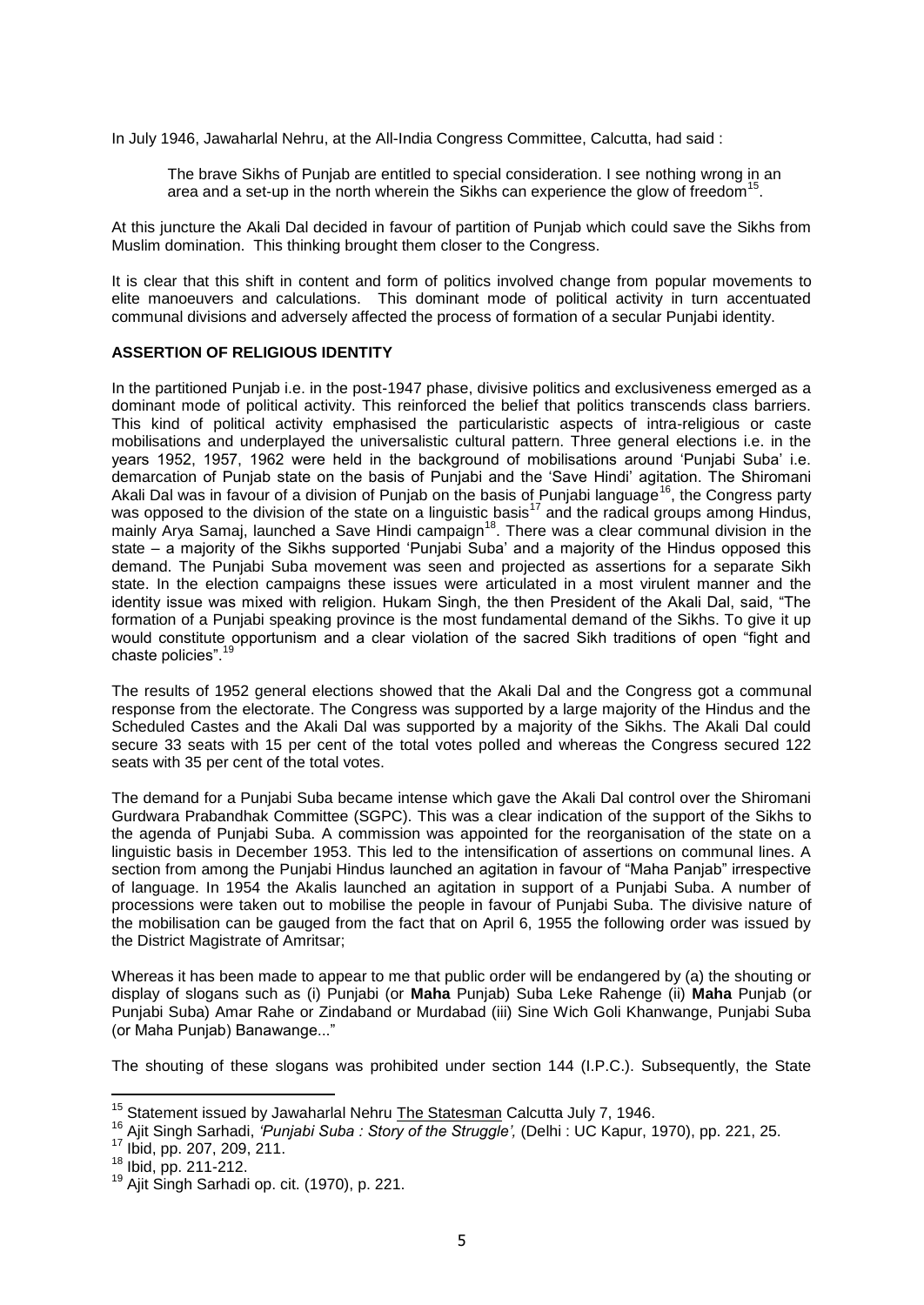In July 1946, Jawaharlal Nehru, at the All-India Congress Committee, Calcutta, had said :

The brave Sikhs of Punjab are entitled to special consideration. I see nothing wrong in an area and a set-up in the north wherein the Sikhs can experience the glow of freedom<sup>15</sup> .

At this juncture the Akali Dal decided in favour of partition of Punjab which could save the Sikhs from Muslim domination. This thinking brought them closer to the Congress.

It is clear that this shift in content and form of politics involved change from popular movements to elite manoeuvers and calculations. This dominant mode of political activity in turn accentuated communal divisions and adversely affected the process of formation of a secular Punjabi identity.

### **ASSERTION OF RELIGIOUS IDENTITY**

In the partitioned Punjab i.e. in the post-1947 phase, divisive politics and exclusiveness emerged as a dominant mode of political activity. This reinforced the belief that politics transcends class barriers. This kind of political activity emphasised the particularistic aspects of intra-religious or caste mobilisations and underplayed the universalistic cultural pattern. Three general elections i.e. in the years 1952, 1957, 1962 were held in the background of mobilisations around 'Punjabi Suba' i.e. demarcation of Punjab state on the basis of Punjabi and the ‗Save Hindi' agitation. The Shiromani Akali Dal was in favour of a division of Punjab on the basis of Punjabi language<sup>16</sup>, the Congress party was opposed to the division of the state on a linguistic basis<sup>17</sup> and the radical groups among Hindus, mainly Arya Samaj, launched a Save Hindi campaign<sup>18</sup>. There was a clear communal division in the state – a majority of the Sikhs supported 'Punjabi Suba' and a majority of the Hindus opposed this demand. The Punjabi Suba movement was seen and projected as assertions for a separate Sikh state. In the election campaigns these issues were articulated in a most virulent manner and the identity issue was mixed with religion. Hukam Singh, the then President of the Akali Dal, said, "The formation of a Punjabi speaking province is the most fundamental demand of the Sikhs. To give it up would constitute opportunism and a clear violation of the sacred Sikh traditions of open "fight and chaste policies". $19$ 

The results of 1952 general elections showed that the Akali Dal and the Congress got a communal response from the electorate. The Congress was supported by a large majority of the Hindus and the Scheduled Castes and the Akali Dal was supported by a majority of the Sikhs. The Akali Dal could secure 33 seats with 15 per cent of the total votes polled and whereas the Congress secured 122 seats with 35 per cent of the total votes.

The demand for a Punjabi Suba became intense which gave the Akali Dal control over the Shiromani Gurdwara Prabandhak Committee (SGPC). This was a clear indication of the support of the Sikhs to the agenda of Punjabi Suba. A commission was appointed for the reorganisation of the state on a linguistic basis in December 1953. This led to the intensification of assertions on communal lines. A section from among the Punjabi Hindus launched an agitation in favour of "Maha Panjab" irrespective of language. In 1954 the Akalis launched an agitation in support of a Punjabi Suba. A number of processions were taken out to mobilise the people in favour of Punjabi Suba. The divisive nature of the mobilisation can be gauged from the fact that on April 6, 1955 the following order was issued by the District Magistrate of Amritsar;

Whereas it has been made to appear to me that public order will be endangered by (a) the shouting or display of slogans such as (i) Punjabi (or **Maha** Punjab) Suba Leke Rahenge (ii) **Maha** Punjab (or Punjabi Suba) Amar Rahe or Zindaband or Murdabad (iii) Sine Wich Goli Khanwange, Punjabi Suba (or Maha Punjab) Banawange..."

The shouting of these slogans was prohibited under section 144 (I.P.C.). Subsequently, the State

<sup>&</sup>lt;sup>15</sup> Statement issued by Jawaharlal Nehru **The Statesman Calcutta July 7, 1946.** 

<sup>16</sup> Ajit Singh Sarhadi, *'Punjabi Suba : Story of the Struggle',* (Delhi : UC Kapur, 1970), pp. 221, 25.

<sup>17</sup> Ibid, pp. 207, 209, 211.

<sup>18</sup> Ibid, pp. 211-212.

<sup>19</sup> Ajit Singh Sarhadi op. cit. (1970), p. 221.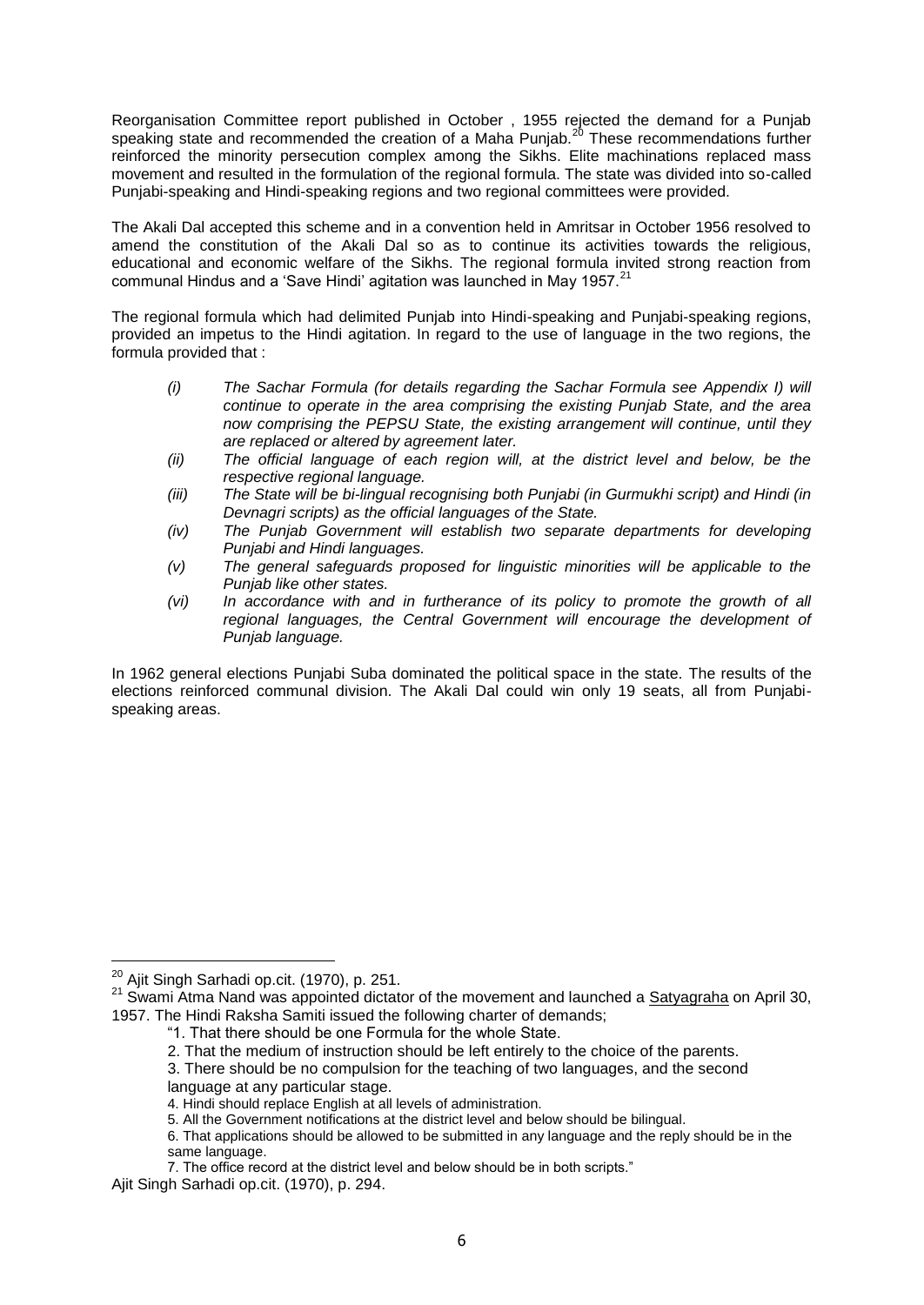Reorganisation Committee report published in October , 1955 rejected the demand for a Punjab speaking state and recommended the creation of a Maha Punjab.<sup>20</sup> These recommendations further reinforced the minority persecution complex among the Sikhs. Elite machinations replaced mass movement and resulted in the formulation of the regional formula. The state was divided into so-called Punjabi-speaking and Hindi-speaking regions and two regional committees were provided.

The Akali Dal accepted this scheme and in a convention held in Amritsar in October 1956 resolved to amend the constitution of the Akali Dal so as to continue its activities towards the religious, educational and economic welfare of the Sikhs. The regional formula invited strong reaction from communal Hindus and a 'Save Hindi' agitation was launched in May 1957.<sup>21</sup>

The regional formula which had delimited Punjab into Hindi-speaking and Punjabi-speaking regions, provided an impetus to the Hindi agitation. In regard to the use of language in the two regions, the formula provided that :

- *(i) The Sachar Formula (for details regarding the Sachar Formula see Appendix I) will continue to operate in the area comprising the existing Punjab State, and the area now comprising the PEPSU State, the existing arrangement will continue, until they are replaced or altered by agreement later.*
- *(ii) The official language of each region will, at the district level and below, be the respective regional language.*
- *(iii) The State will be bi-lingual recognising both Punjabi (in Gurmukhi script) and Hindi (in Devnagri scripts) as the official languages of the State.*
- *(iv) The Punjab Government will establish two separate departments for developing Punjabi and Hindi languages.*
- *(v) The general safeguards proposed for linguistic minorities will be applicable to the Punjab like other states.*
- *(vi) In accordance with and in furtherance of its policy to promote the growth of all*  regional languages, the Central Government will encourage the development of *Punjab language.*

In 1962 general elections Punjabi Suba dominated the political space in the state. The results of the elections reinforced communal division. The Akali Dal could win only 19 seats, all from Punjabispeaking areas.

<sup>-</sup> $^{20}$  Ajit Singh Sarhadi op.cit. (1970), p. 251.

<sup>&</sup>lt;sup>21</sup> Swami Atma Nand was appointed dictator of the movement and launched a Satyagraha on April 30, 1957. The Hindi Raksha Samiti issued the following charter of demands;

<sup>―1.</sup> That there should be one Formula for the whole State.

<sup>2.</sup> That the medium of instruction should be left entirely to the choice of the parents.

<sup>3.</sup> There should be no compulsion for the teaching of two languages, and the second

language at any particular stage.

<sup>4.</sup> Hindi should replace English at all levels of administration.

<sup>5.</sup> All the Government notifications at the district level and below should be bilingual.

<sup>6.</sup> That applications should be allowed to be submitted in any language and the reply should be in the same language.

<sup>7.</sup> The office record at the district level and below should be in both scripts."

Ajit Singh Sarhadi op.cit. (1970), p. 294.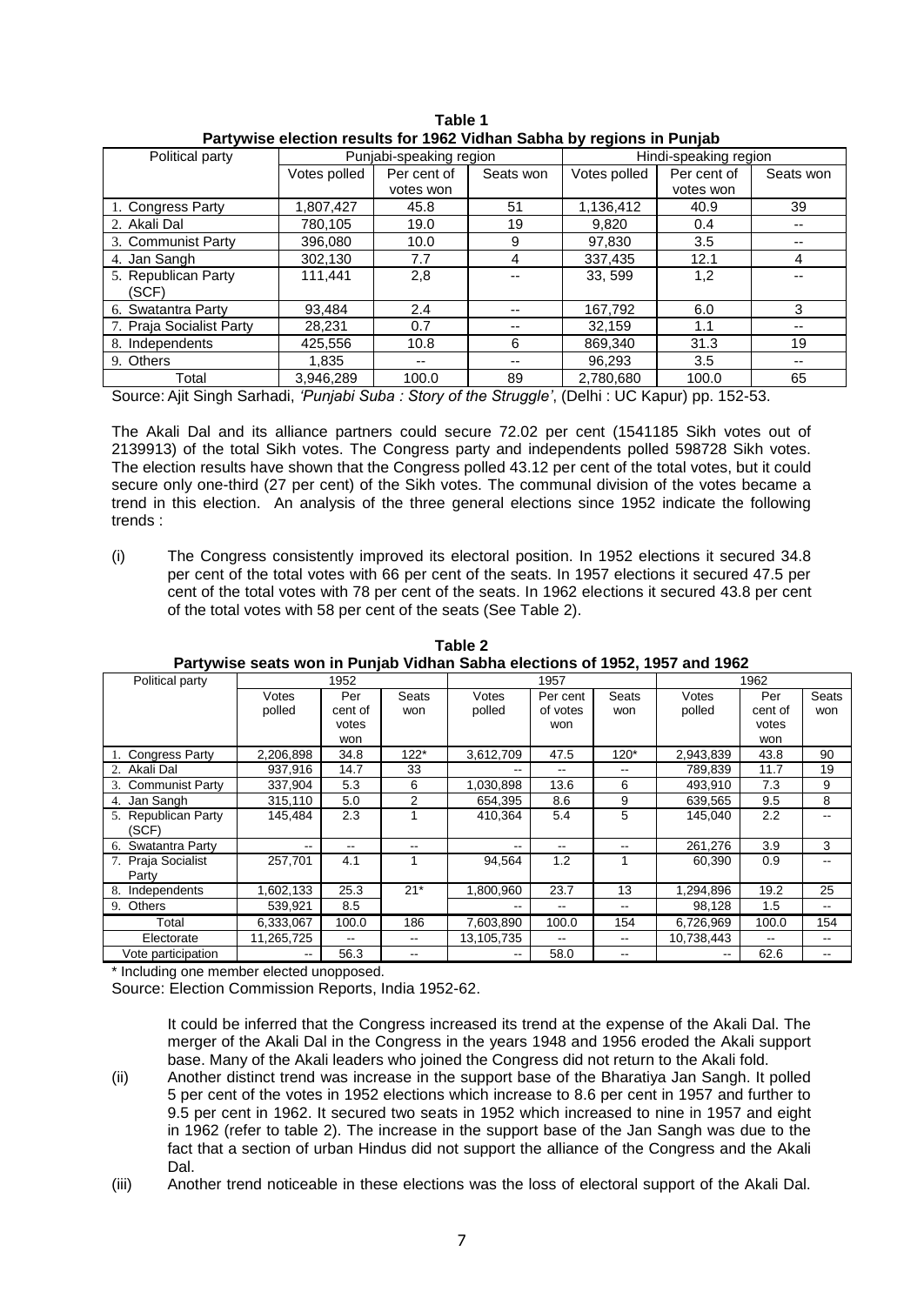| Political party          | Punjabi-speaking region |             |           | Hindi-speaking region |             |           |  |
|--------------------------|-------------------------|-------------|-----------|-----------------------|-------------|-----------|--|
|                          | Votes polled            | Per cent of | Seats won | Votes polled          | Per cent of | Seats won |  |
|                          |                         | votes won   |           |                       | votes won   |           |  |
| 1. Congress Party        | 1,807,427               | 45.8        | 51        | 1,136,412             | 40.9        | 39        |  |
| 2. Akali Dal             | 780.105                 | 19.0        | 19        | 9.820                 | 0.4         |           |  |
| 3. Communist Party       | 396,080                 | 10.0        | 9         | 97,830                | 3.5         | --        |  |
| 4. Jan Sangh             | 302.130                 | 7.7         | 4         | 337,435               | 12.1        | 4         |  |
| 5. Republican Party      | 111,441                 | 2,8         |           | 33, 599               | 1,2         |           |  |
| (SCF)                    |                         |             |           |                       |             |           |  |
| 6. Swatantra Party       | 93.484                  | 2.4         | --        | 167,792               | 6.0         | 3         |  |
| 7. Praja Socialist Party | 28.231                  | 0.7         | --        | 32,159                | 1.1         | --        |  |
| 8. Independents          | 425,556                 | 10.8        | 6         | 869.340               | 31.3        | 19        |  |
| 9. Others                | 1.835                   | --          | --        | 96.293                | 3.5         | --        |  |
| Total                    | 3.946.289               | 100.0       | 89        | 2,780,680             | 100.0       | 65        |  |

**Table 1 Partywise election results for 1962 Vidhan Sabha by regions in Punjab**

Source: Ajit Singh Sarhadi, *'Punjabi Suba : Story of the Struggle'*, (Delhi : UC Kapur) pp. 152-53.

The Akali Dal and its alliance partners could secure 72.02 per cent (1541185 Sikh votes out of 2139913) of the total Sikh votes. The Congress party and independents polled 598728 Sikh votes. The election results have shown that the Congress polled 43.12 per cent of the total votes, but it could secure only one-third (27 per cent) of the Sikh votes. The communal division of the votes became a trend in this election. An analysis of the three general elections since 1952 indicate the following trends :

(i) The Congress consistently improved its electoral position. In 1952 elections it secured 34.8 per cent of the total votes with 66 per cent of the seats. In 1957 elections it secured 47.5 per cent of the total votes with 78 per cent of the seats. In 1962 elections it secured 43.8 per cent of the total votes with 58 per cent of the seats (See Table 2).

| Political party     | 1952       |         |                          |                   | 1957     |        | 1962       |         |       |
|---------------------|------------|---------|--------------------------|-------------------|----------|--------|------------|---------|-------|
|                     | Votes      | Per     | Seats                    | Votes             | Per cent | Seats  | Votes      | Per     | Seats |
|                     | polled     | cent of | won                      | polled            | of votes | won    | polled     | cent of | won   |
|                     |            | votes   |                          |                   | won      |        |            | votes   |       |
|                     |            | won     |                          |                   |          |        |            | won     |       |
| 1. Congress Party   | 2,206,898  | 34.8    | $122*$                   | 3,612,709         | 47.5     | $120*$ | 2,943,839  | 43.8    | 90    |
| 2. Akali Dal        | 937,916    | 14.7    | 33                       | --                | $- -$    | $- -$  | 789,839    | 11.7    | 19    |
| 3. Communist Party  | 337.904    | 5.3     | 6                        | 1,030,898         | 13.6     | 6      | 493.910    | 7.3     | 9     |
| 4. Jan Sangh        | 315,110    | 5.0     | 2                        | 654.395           | 8.6      | 9      | 639.565    | 9.5     | 8     |
| 5. Republican Party | 145,484    | 2.3     |                          | 410.364           | 5.4      | 5      | 145,040    | 2.2     | --    |
| (SCF)               |            |         |                          |                   |          |        |            |         |       |
| 6. Swatantra Party  | $- -$      | --      |                          | $\qquad \qquad -$ | --       |        | 261,276    | 3.9     | 3     |
| 7. Praja Socialist  | 257,701    | 4.1     |                          | 94,564            | 1.2      |        | 60,390     | 0.9     |       |
| Party               |            |         |                          |                   |          |        |            |         |       |
| 8.<br>Independents  | 1,602,133  | 25.3    | $21*$                    | 1,800,960         | 23.7     | 13     | 1,294,896  | 19.2    | 25    |
| 9. Others           | 539,921    | 8.5     |                          | --                | $- -$    | --     | 98,128     | 1.5     | --    |
| Total               | 6,333,067  | 100.0   | 186                      | 7,603,890         | 100.0    | 154    | 6,726,969  | 100.0   | 154   |
| Electorate          | 11,265,725 | --      | $\overline{\phantom{a}}$ | 13,105,735        | $- -$    | $- -$  | 10,738,443 |         | $- -$ |
| Vote participation  | --         | 56.3    | $- -$                    | --                | 58.0     | --     | --         | 62.6    | --    |

**Table 2 Partywise seats won in Punjab Vidhan Sabha elections of 1952, 1957 and 1962**

Including one member elected unopposed.

Source: Election Commission Reports, India 1952-62.

It could be inferred that the Congress increased its trend at the expense of the Akali Dal. The merger of the Akali Dal in the Congress in the years 1948 and 1956 eroded the Akali support base. Many of the Akali leaders who joined the Congress did not return to the Akali fold.

- (ii) Another distinct trend was increase in the support base of the Bharatiya Jan Sangh. It polled 5 per cent of the votes in 1952 elections which increase to 8.6 per cent in 1957 and further to 9.5 per cent in 1962. It secured two seats in 1952 which increased to nine in 1957 and eight in 1962 (refer to table 2). The increase in the support base of the Jan Sangh was due to the fact that a section of urban Hindus did not support the alliance of the Congress and the Akali Dal.
- (iii) Another trend noticeable in these elections was the loss of electoral support of the Akali Dal.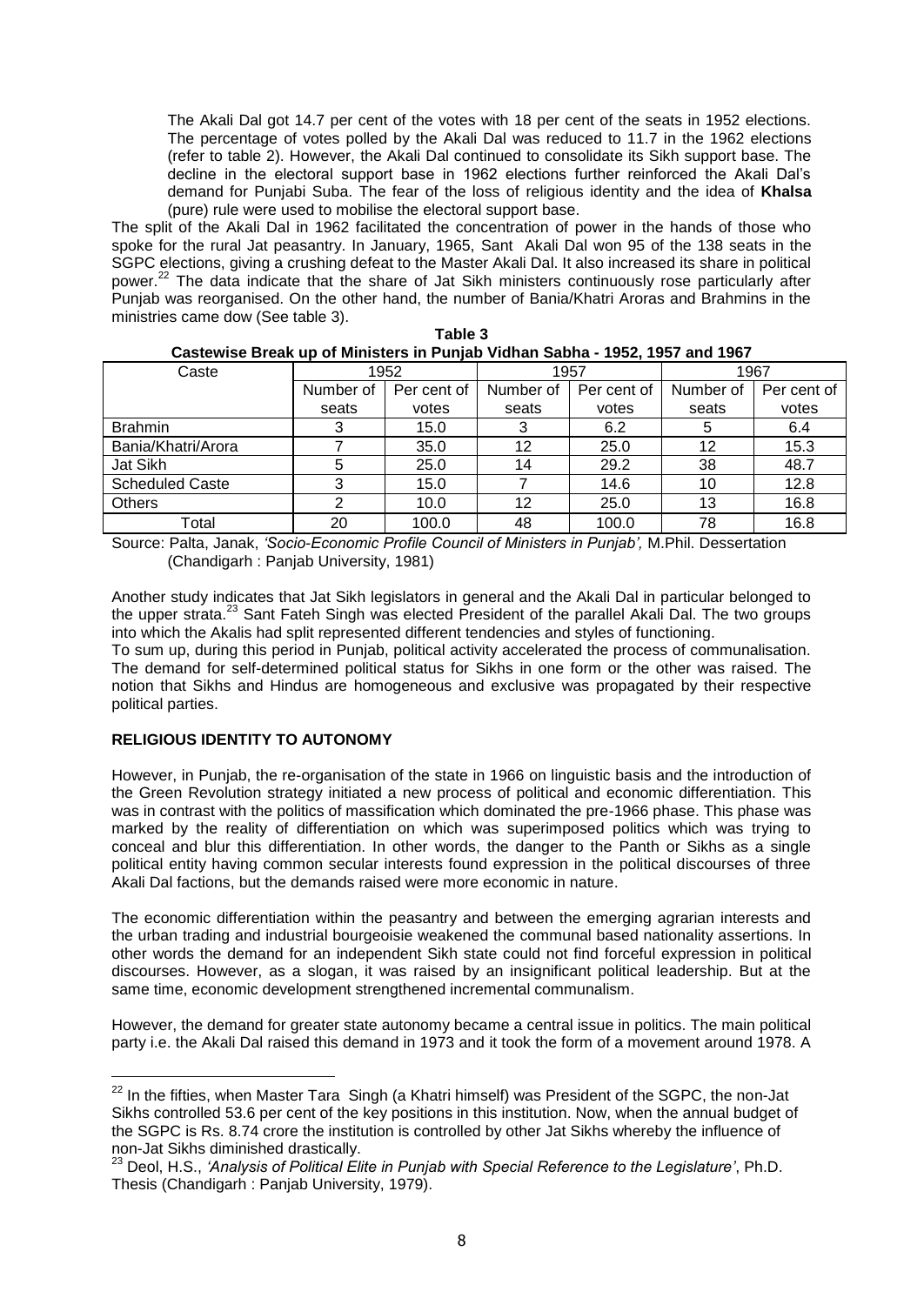The Akali Dal got 14.7 per cent of the votes with 18 per cent of the seats in 1952 elections. The percentage of votes polled by the Akali Dal was reduced to 11.7 in the 1962 elections (refer to table 2). However, the Akali Dal continued to consolidate its Sikh support base. The decline in the electoral support base in 1962 elections further reinforced the Akali Dal's demand for Punjabi Suba. The fear of the loss of religious identity and the idea of **Khalsa**  (pure) rule were used to mobilise the electoral support base.

The split of the Akali Dal in 1962 facilitated the concentration of power in the hands of those who spoke for the rural Jat peasantry. In January, 1965, Sant Akali Dal won 95 of the 138 seats in the SGPC elections, giving a crushing defeat to the Master Akali Dal. It also increased its share in political power.<sup>22</sup> The data indicate that the share of Jat Sikh ministers continuously rose particularly after Punjab was reorganised. On the other hand, the number of Bania/Khatri Aroras and Brahmins in the ministries came dow (See table 3).

| 003000130 DI CAN UP OF MILIISOTS III F UITJAD VIGHAH OADHA - 1994, 1997 AHU 1907 |           |             |           |             |           |             |  |  |  |  |
|----------------------------------------------------------------------------------|-----------|-------------|-----------|-------------|-----------|-------------|--|--|--|--|
| Caste                                                                            | 1952      |             |           | 1957        | 1967      |             |  |  |  |  |
|                                                                                  | Number of | Per cent of | Number of | Per cent of | Number of | Per cent of |  |  |  |  |
|                                                                                  | seats     | votes       | seats     | votes       | seats     | votes       |  |  |  |  |
| <b>Brahmin</b>                                                                   |           | 15.0        | 3         | 6.2         | 5         | 6.4         |  |  |  |  |
| Bania/Khatri/Arora                                                               |           | 35.0        | 12        | 25.0        | 12        | 15.3        |  |  |  |  |
| Jat Sikh                                                                         |           | 25.0        | 14        | 29.2        | 38        | 48.7        |  |  |  |  |
| <b>Scheduled Caste</b>                                                           | ົ         | 15.0        |           | 14.6        | 10        | 12.8        |  |  |  |  |
| <b>Others</b>                                                                    |           | 10.0        | 12        | 25.0        | 13        | 16.8        |  |  |  |  |
| Total                                                                            | 20        | 100.0       | 48        | 100.0       | 78        | 16.8        |  |  |  |  |

| Table 3                                                                      |
|------------------------------------------------------------------------------|
| Castewise Break up of Ministers in Punjab Vidhan Sabha - 1952, 1957 and 1967 |

Source: Palta, Janak, *'Socio-Economic Profile Council of Ministers in Punjab',* M.Phil. Dessertation (Chandigarh : Panjab University, 1981)

Another study indicates that Jat Sikh legislators in general and the Akali Dal in particular belonged to the upper strata.<sup>23</sup> Sant Fateh Singh was elected President of the parallel Akali Dal. The two groups into which the Akalis had split represented different tendencies and styles of functioning.

To sum up, during this period in Punjab, political activity accelerated the process of communalisation. The demand for self-determined political status for Sikhs in one form or the other was raised. The notion that Sikhs and Hindus are homogeneous and exclusive was propagated by their respective political parties.

## **RELIGIOUS IDENTITY TO AUTONOMY**

 $\overline{1}$ 

However, in Punjab, the re-organisation of the state in 1966 on linguistic basis and the introduction of the Green Revolution strategy initiated a new process of political and economic differentiation. This was in contrast with the politics of massification which dominated the pre-1966 phase. This phase was marked by the reality of differentiation on which was superimposed politics which was trying to conceal and blur this differentiation. In other words, the danger to the Panth or Sikhs as a single political entity having common secular interests found expression in the political discourses of three Akali Dal factions, but the demands raised were more economic in nature.

The economic differentiation within the peasantry and between the emerging agrarian interests and the urban trading and industrial bourgeoisie weakened the communal based nationality assertions. In other words the demand for an independent Sikh state could not find forceful expression in political discourses. However, as a slogan, it was raised by an insignificant political leadership. But at the same time, economic development strengthened incremental communalism.

However, the demand for greater state autonomy became a central issue in politics. The main political party i.e. the Akali Dal raised this demand in 1973 and it took the form of a movement around 1978. A

<sup>&</sup>lt;sup>22</sup> In the fifties, when Master Tara Singh (a Khatri himself) was President of the SGPC, the non-Jat Sikhs controlled 53.6 per cent of the key positions in this institution. Now, when the annual budget of the SGPC is Rs. 8.74 crore the institution is controlled by other Jat Sikhs whereby the influence of non-Jat Sikhs diminished drastically.

<sup>23</sup> Deol, H.S., *'Analysis of Political Elite in Punjab with Special Reference to the Legislature'*, Ph.D. Thesis (Chandigarh : Panjab University, 1979).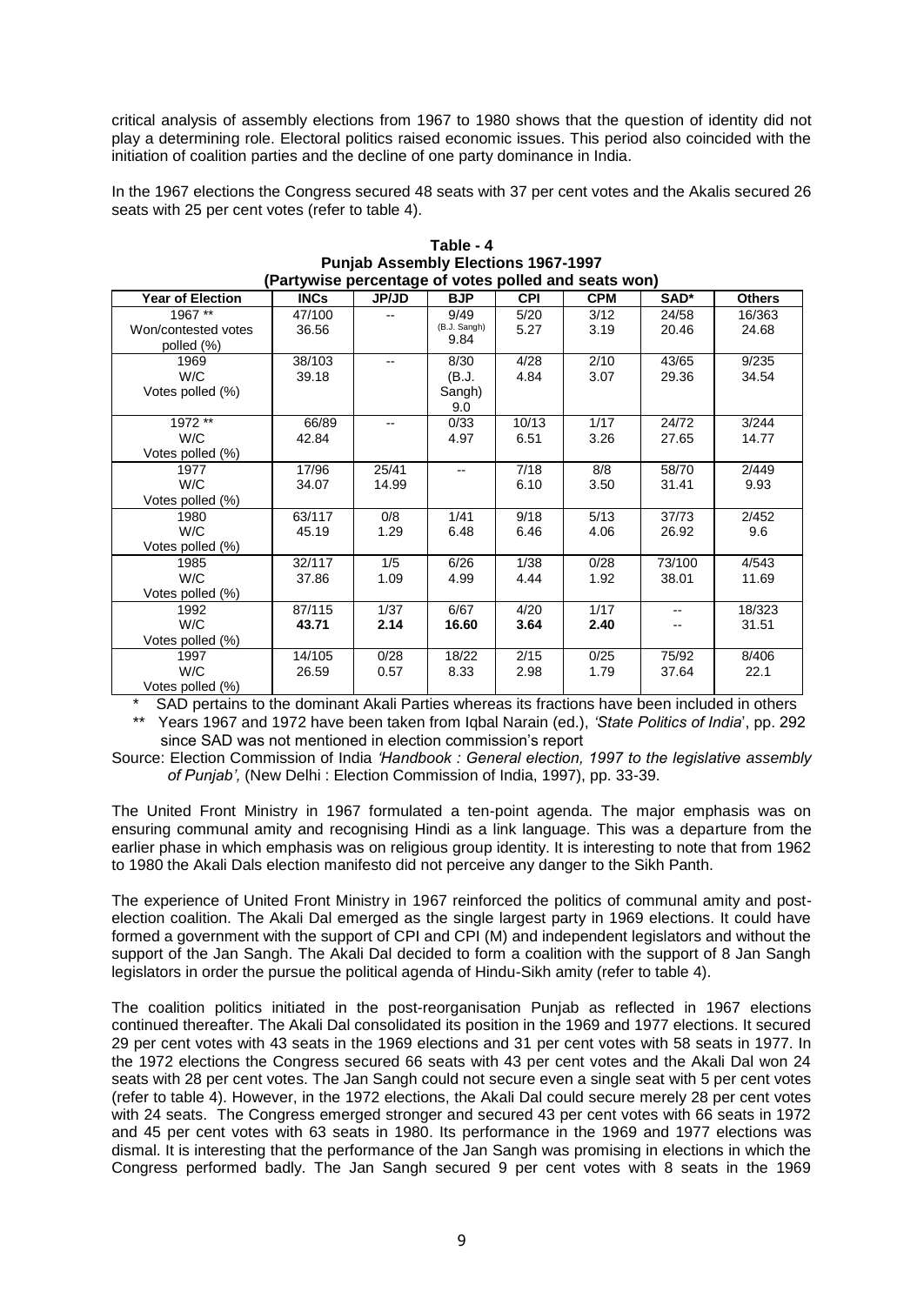critical analysis of assembly elections from 1967 to 1980 shows that the question of identity did not play a determining role. Electoral politics raised economic issues. This period also coincided with the initiation of coalition parties and the decline of one party dominance in India.

In the 1967 elections the Congress secured 48 seats with 37 per cent votes and the Akalis secured 26 seats with 25 per cent votes (refer to table 4).

| (Partywise percentage of votes polled and seats won) |             |              |              |            |            |        |               |  |  |
|------------------------------------------------------|-------------|--------------|--------------|------------|------------|--------|---------------|--|--|
| <b>Year of Election</b>                              | <b>INCs</b> | <b>JP/JD</b> | <b>BJP</b>   | <b>CPI</b> | <b>CPM</b> | SAD*   | <b>Others</b> |  |  |
| 1967 **                                              | 47/100      | --           | 9/49         | 5/20       | 3/12       | 24/58  | 16/363        |  |  |
| Won/contested votes                                  | 36.56       |              | (B.J. Sangh) | 5.27       | 3.19       | 20.46  | 24.68         |  |  |
| polled (%)                                           |             |              | 9.84         |            |            |        |               |  |  |
| 1969                                                 | 38/103      | --           | 8/30         | 4/28       | 2/10       | 43/65  | 9/235         |  |  |
| W/C                                                  | 39.18       |              | (B.J.        | 4.84       | 3.07       | 29.36  | 34.54         |  |  |
| Votes polled (%)                                     |             |              | Sangh)       |            |            |        |               |  |  |
|                                                      |             |              | 9.0          |            |            |        |               |  |  |
| 1972 **                                              | 66/89       |              | 0/33         | 10/13      | 1/17       | 24/72  | 3/244         |  |  |
| W/C                                                  | 42.84       |              | 4.97         | 6.51       | 3.26       | 27.65  | 14.77         |  |  |
| Votes polled (%)                                     |             |              |              |            |            |        |               |  |  |
| 1977                                                 | 17/96       | 25/41        | --           | 7/18       | 8/8        | 58/70  | 2/449         |  |  |
| W/C                                                  | 34.07       | 14.99        |              | 6.10       | 3.50       | 31.41  | 9.93          |  |  |
| Votes polled (%)                                     |             |              |              |            |            |        |               |  |  |
| 1980                                                 | 63/117      | 0/8          | 1/41         | 9/18       | 5/13       | 37/73  | 2/452         |  |  |
| W/C                                                  | 45.19       | 1.29         | 6.48         | 6.46       | 4.06       | 26.92  | 9.6           |  |  |
| Votes polled (%)                                     |             |              |              |            |            |        |               |  |  |
| 1985                                                 | 32/117      | 1/5          | 6/26         | 1/38       | 0/28       | 73/100 | 4/543         |  |  |
| W/C                                                  | 37.86       | 1.09         | 4.99         | 4.44       | 1.92       | 38.01  | 11.69         |  |  |
| Votes polled (%)                                     |             |              |              |            |            |        |               |  |  |
| 1992                                                 | 87/115      | 1/37         | 6/67         | 4/20       | 1/17       | $-$    | 18/323        |  |  |
| W/C                                                  | 43.71       | 2.14         | 16.60        | 3.64       | 2.40       | --     | 31.51         |  |  |
| Votes polled (%)                                     |             |              |              |            |            |        |               |  |  |
| 1997                                                 | 14/105      | 0/28         | 18/22        | 2/15       | 0/25       | 75/92  | 8/406         |  |  |
| W/C                                                  | 26.59       | 0.57         | 8.33         | 2.98       | 1.79       | 37.64  | 22.1          |  |  |
| Votes polled (%)                                     |             |              |              |            |            |        |               |  |  |

| Table - 4                                           |
|-----------------------------------------------------|
| <b>Punjab Assembly Elections 1967-1997</b>          |
| Destrucion perceptage of unten pelled and conto wan |

SAD pertains to the dominant Akali Parties whereas its fractions have been included in others \*\* Years 1967 and 1972 have been taken from Iqbal Narain (ed.), *'State Politics of India*', pp. 292 since SAD was not mentioned in election commission's report

Source: Election Commission of India *'Handbook : General election, 1997 to the legislative assembly of Punjab',* (New Delhi : Election Commission of India, 1997), pp. 33-39.

The United Front Ministry in 1967 formulated a ten-point agenda. The major emphasis was on ensuring communal amity and recognising Hindi as a link language. This was a departure from the earlier phase in which emphasis was on religious group identity. It is interesting to note that from 1962 to 1980 the Akali Dals election manifesto did not perceive any danger to the Sikh Panth.

The experience of United Front Ministry in 1967 reinforced the politics of communal amity and postelection coalition. The Akali Dal emerged as the single largest party in 1969 elections. It could have formed a government with the support of CPI and CPI (M) and independent legislators and without the support of the Jan Sangh. The Akali Dal decided to form a coalition with the support of 8 Jan Sangh legislators in order the pursue the political agenda of Hindu-Sikh amity (refer to table 4).

The coalition politics initiated in the post-reorganisation Punjab as reflected in 1967 elections continued thereafter. The Akali Dal consolidated its position in the 1969 and 1977 elections. It secured 29 per cent votes with 43 seats in the 1969 elections and 31 per cent votes with 58 seats in 1977. In the 1972 elections the Congress secured 66 seats with 43 per cent votes and the Akali Dal won 24 seats with 28 per cent votes. The Jan Sangh could not secure even a single seat with 5 per cent votes (refer to table 4). However, in the 1972 elections, the Akali Dal could secure merely 28 per cent votes with 24 seats. The Congress emerged stronger and secured 43 per cent votes with 66 seats in 1972 and 45 per cent votes with 63 seats in 1980. Its performance in the 1969 and 1977 elections was dismal. It is interesting that the performance of the Jan Sangh was promising in elections in which the Congress performed badly. The Jan Sangh secured 9 per cent votes with 8 seats in the 1969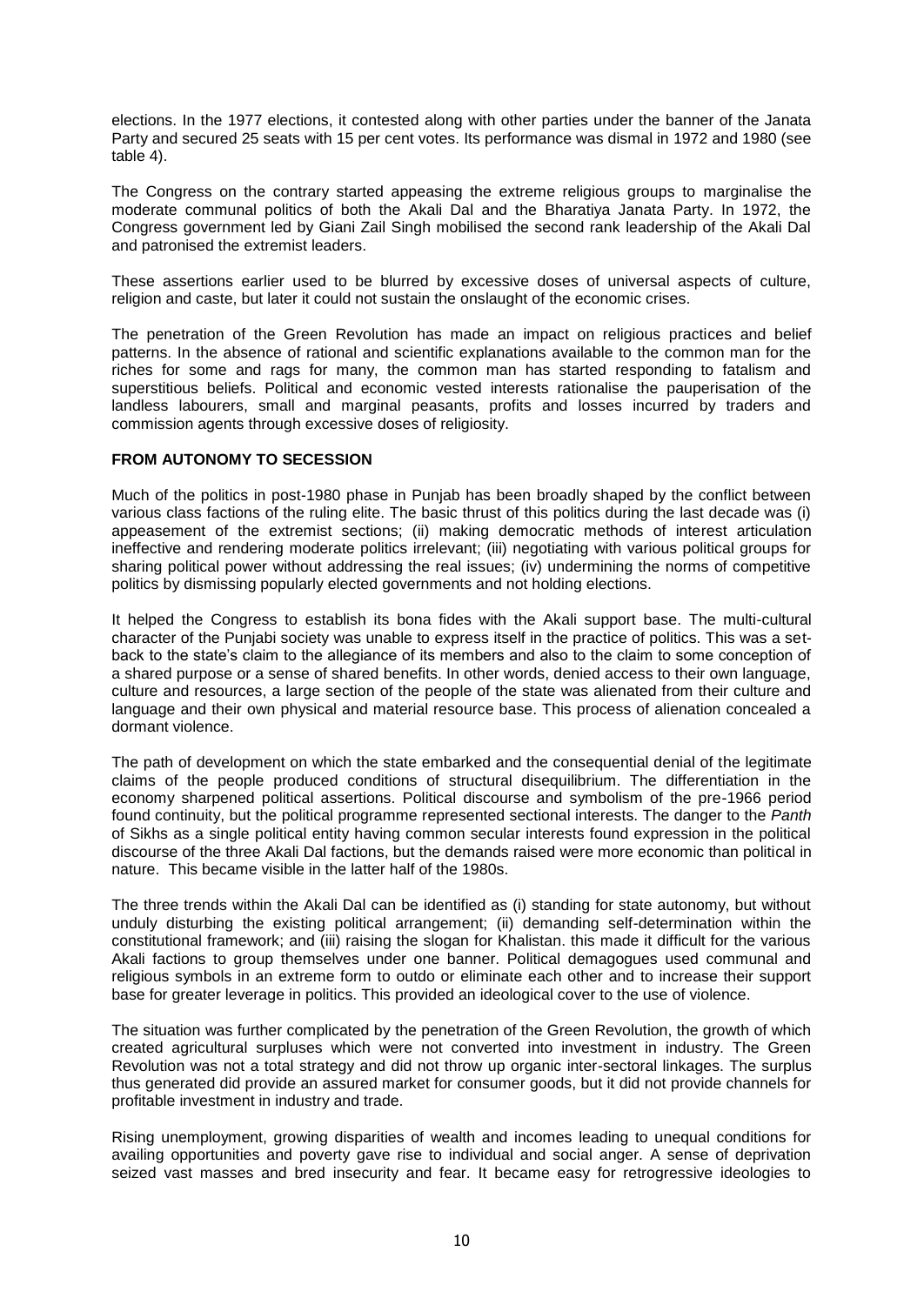elections. In the 1977 elections, it contested along with other parties under the banner of the Janata Party and secured 25 seats with 15 per cent votes. Its performance was dismal in 1972 and 1980 (see table 4).

The Congress on the contrary started appeasing the extreme religious groups to marginalise the moderate communal politics of both the Akali Dal and the Bharatiya Janata Party. In 1972, the Congress government led by Giani Zail Singh mobilised the second rank leadership of the Akali Dal and patronised the extremist leaders.

These assertions earlier used to be blurred by excessive doses of universal aspects of culture, religion and caste, but later it could not sustain the onslaught of the economic crises.

The penetration of the Green Revolution has made an impact on religious practices and belief patterns. In the absence of rational and scientific explanations available to the common man for the riches for some and rags for many, the common man has started responding to fatalism and superstitious beliefs. Political and economic vested interests rationalise the pauperisation of the landless labourers, small and marginal peasants, profits and losses incurred by traders and commission agents through excessive doses of religiosity.

### **FROM AUTONOMY TO SECESSION**

Much of the politics in post-1980 phase in Punjab has been broadly shaped by the conflict between various class factions of the ruling elite. The basic thrust of this politics during the last decade was (i) appeasement of the extremist sections; (ii) making democratic methods of interest articulation ineffective and rendering moderate politics irrelevant; (iii) negotiating with various political groups for sharing political power without addressing the real issues; (iv) undermining the norms of competitive politics by dismissing popularly elected governments and not holding elections.

It helped the Congress to establish its bona fides with the Akali support base. The multi-cultural character of the Punjabi society was unable to express itself in the practice of politics. This was a setback to the state's claim to the allegiance of its members and also to the claim to some conception of a shared purpose or a sense of shared benefits. In other words, denied access to their own language, culture and resources, a large section of the people of the state was alienated from their culture and language and their own physical and material resource base. This process of alienation concealed a dormant violence.

The path of development on which the state embarked and the consequential denial of the legitimate claims of the people produced conditions of structural disequilibrium. The differentiation in the economy sharpened political assertions. Political discourse and symbolism of the pre-1966 period found continuity, but the political programme represented sectional interests. The danger to the *Panth* of Sikhs as a single political entity having common secular interests found expression in the political discourse of the three Akali Dal factions, but the demands raised were more economic than political in nature. This became visible in the latter half of the 1980s.

The three trends within the Akali Dal can be identified as (i) standing for state autonomy, but without unduly disturbing the existing political arrangement; (ii) demanding self-determination within the constitutional framework; and (iii) raising the slogan for Khalistan. this made it difficult for the various Akali factions to group themselves under one banner. Political demagogues used communal and religious symbols in an extreme form to outdo or eliminate each other and to increase their support base for greater leverage in politics. This provided an ideological cover to the use of violence.

The situation was further complicated by the penetration of the Green Revolution, the growth of which created agricultural surpluses which were not converted into investment in industry. The Green Revolution was not a total strategy and did not throw up organic inter-sectoral linkages. The surplus thus generated did provide an assured market for consumer goods, but it did not provide channels for profitable investment in industry and trade.

Rising unemployment, growing disparities of wealth and incomes leading to unequal conditions for availing opportunities and poverty gave rise to individual and social anger. A sense of deprivation seized vast masses and bred insecurity and fear. It became easy for retrogressive ideologies to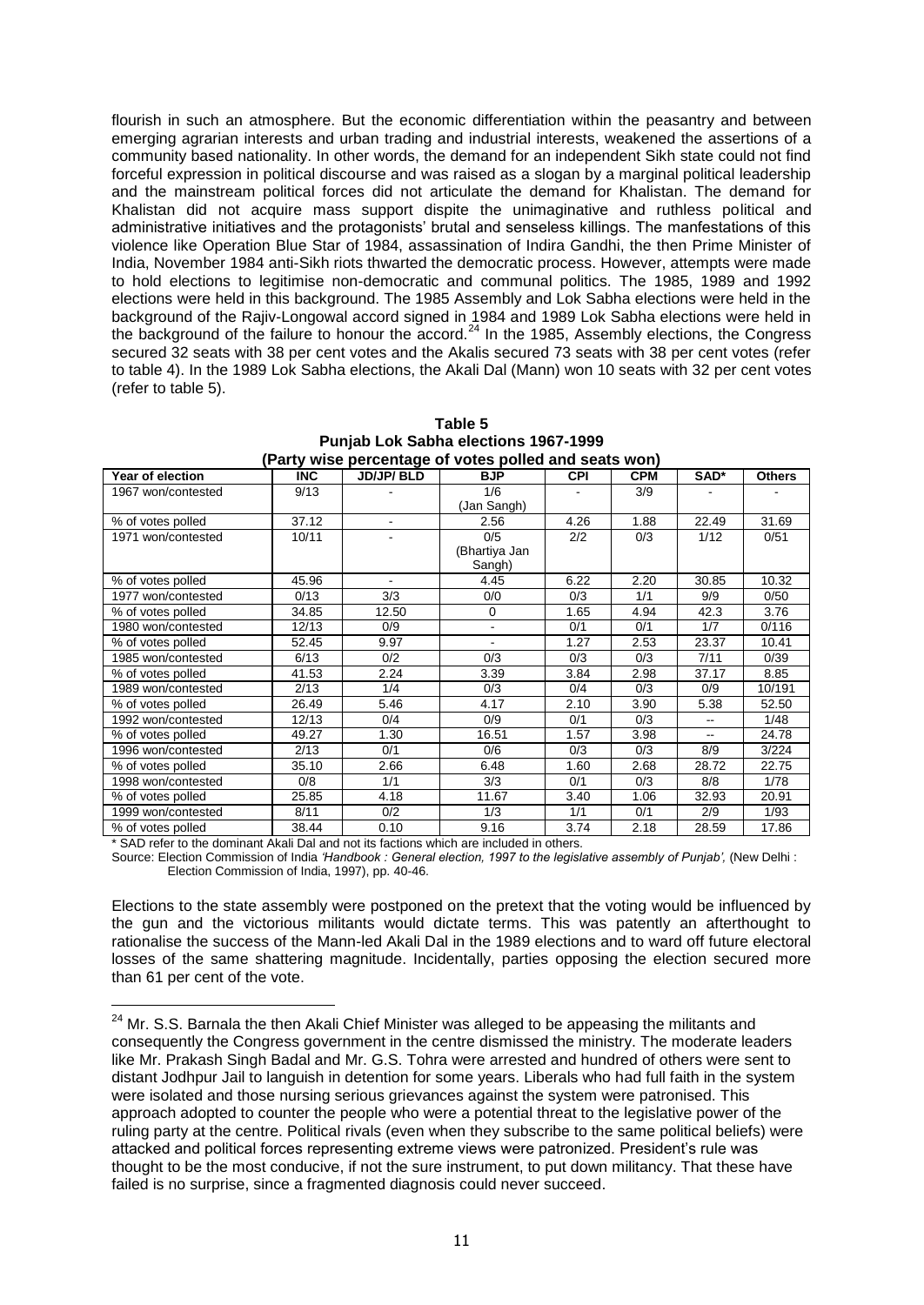flourish in such an atmosphere. But the economic differentiation within the peasantry and between emerging agrarian interests and urban trading and industrial interests, weakened the assertions of a community based nationality. In other words, the demand for an independent Sikh state could not find forceful expression in political discourse and was raised as a slogan by a marginal political leadership and the mainstream political forces did not articulate the demand for Khalistan. The demand for Khalistan did not acquire mass support dispite the unimaginative and ruthless political and administrative initiatives and the protagonists' brutal and senseless killings. The manfestations of this violence like Operation Blue Star of 1984, assassination of Indira Gandhi, the then Prime Minister of India, November 1984 anti-Sikh riots thwarted the democratic process. However, attempts were made to hold elections to legitimise non-democratic and communal politics. The 1985, 1989 and 1992 elections were held in this background. The 1985 Assembly and Lok Sabha elections were held in the background of the Rajiv-Longowal accord signed in 1984 and 1989 Lok Sabha elections were held in the background of the failure to honour the accord.<sup>24</sup> In the 1985, Assembly elections, the Congress secured 32 seats with 38 per cent votes and the Akalis secured 73 seats with 38 per cent votes (refer to table 4). In the 1989 Lok Sabha elections, the Akali Dal (Mann) won 10 seats with 32 per cent votes (refer to table 5).

| (Party wise percentage or votes polled and seats won) |            |                  |               |            |            |       |               |  |  |
|-------------------------------------------------------|------------|------------------|---------------|------------|------------|-------|---------------|--|--|
| Year of election                                      | <b>INC</b> | <b>JD/JP/BLD</b> | <b>BJP</b>    | <b>CPI</b> | <b>CPM</b> | SAD*  | <b>Others</b> |  |  |
| 1967 won/contested                                    | 9/13       |                  | 1/6           |            | 3/9        |       |               |  |  |
|                                                       |            |                  | (Jan Sangh)   |            |            |       |               |  |  |
| % of votes polled                                     | 37.12      | $\mathbf{r}$     | 2.56          | 4.26       | 1.88       | 22.49 | 31.69         |  |  |
| 1971 won/contested                                    | 10/11      | ۰                | 0/5           | 2/2        | 0/3        | 1/12  | 0/51          |  |  |
|                                                       |            |                  | (Bhartiya Jan |            |            |       |               |  |  |
|                                                       |            |                  | Sangh)        |            |            |       |               |  |  |
| % of votes polled                                     | 45.96      | $\blacksquare$   | 4.45          | 6.22       | 2.20       | 30.85 | 10.32         |  |  |
| 1977 won/contested                                    | 0/13       | 3/3              | 0/0           | 0/3        | 1/1        | 9/9   | 0/50          |  |  |
| % of votes polled                                     | 34.85      | 12.50            | 0             | 1.65       | 4.94       | 42.3  | 3.76          |  |  |
| 1980 won/contested                                    | 12/13      | 0/9              |               | 0/1        | 0/1        | 1/7   | 0/116         |  |  |
| % of votes polled                                     | 52.45      | 9.97             |               | 1.27       | 2.53       | 23.37 | 10.41         |  |  |
| 1985 won/contested                                    | 6/13       | 0/2              | 0/3           | 0/3        | 0/3        | 7/11  | 0/39          |  |  |
| % of votes polled                                     | 41.53      | 2.24             | 3.39          | 3.84       | 2.98       | 37.17 | 8.85          |  |  |
| 1989 won/contested                                    | 2/13       | 1/4              | 0/3           | 0/4        | 0/3        | 0/9   | 10/191        |  |  |
| % of votes polled                                     | 26.49      | 5.46             | 4.17          | 2.10       | 3.90       | 5.38  | 52.50         |  |  |
| 1992 won/contested                                    | 12/13      | 0/4              | 0/9           | 0/1        | 0/3        | --    | 1/48          |  |  |
| % of votes polled                                     | 49.27      | 1.30             | 16.51         | 1.57       | 3.98       |       | 24.78         |  |  |
| 1996 won/contested                                    | 2/13       | 0/1              | 0/6           | 0/3        | 0/3        | 8/9   | 3/224         |  |  |
| % of votes polled                                     | 35.10      | 2.66             | 6.48          | 1.60       | 2.68       | 28.72 | 22.75         |  |  |
| 1998 won/contested                                    | 0/8        | 1/1              | 3/3           | 0/1        | 0/3        | 8/8   | 1/78          |  |  |
| % of votes polled                                     | 25.85      | 4.18             | 11.67         | 3.40       | 1.06       | 32.93 | 20.91         |  |  |
| 1999 won/contested                                    | 8/11       | 0/2              | 1/3           | 1/1        | 0/1        | 2/9   | 1/93          |  |  |
| % of votes polled                                     | 38.44      | 0.10             | 9.16          | 3.74       | 2.18       | 28.59 | 17.86         |  |  |

**Table 5 Punjab Lok Sabha elections 1967-1999 (Party wise percentage of votes polled and seats won)**

SAD refer to the dominant Akali Dal and not its factions which are included in others.

-

Source: Election Commission of India 'Handbook : General election, 1997 to the legislative assembly of Punjab', (New Delhi : Election Commission of India, 1997), pp. 40-46.

Elections to the state assembly were postponed on the pretext that the voting would be influenced by the gun and the victorious militants would dictate terms. This was patently an afterthought to rationalise the success of the Mann-led Akali Dal in the 1989 elections and to ward off future electoral losses of the same shattering magnitude. Incidentally, parties opposing the election secured more than 61 per cent of the vote.

 $24$  Mr. S.S. Barnala the then Akali Chief Minister was alleged to be appeasing the militants and consequently the Congress government in the centre dismissed the ministry. The moderate leaders like Mr. Prakash Singh Badal and Mr. G.S. Tohra were arrested and hundred of others were sent to distant Jodhpur Jail to languish in detention for some years. Liberals who had full faith in the system were isolated and those nursing serious grievances against the system were patronised. This approach adopted to counter the people who were a potential threat to the legislative power of the ruling party at the centre. Political rivals (even when they subscribe to the same political beliefs) were attacked and political forces representing extreme views were patronized. President's rule was thought to be the most conducive, if not the sure instrument, to put down militancy. That these have failed is no surprise, since a fragmented diagnosis could never succeed.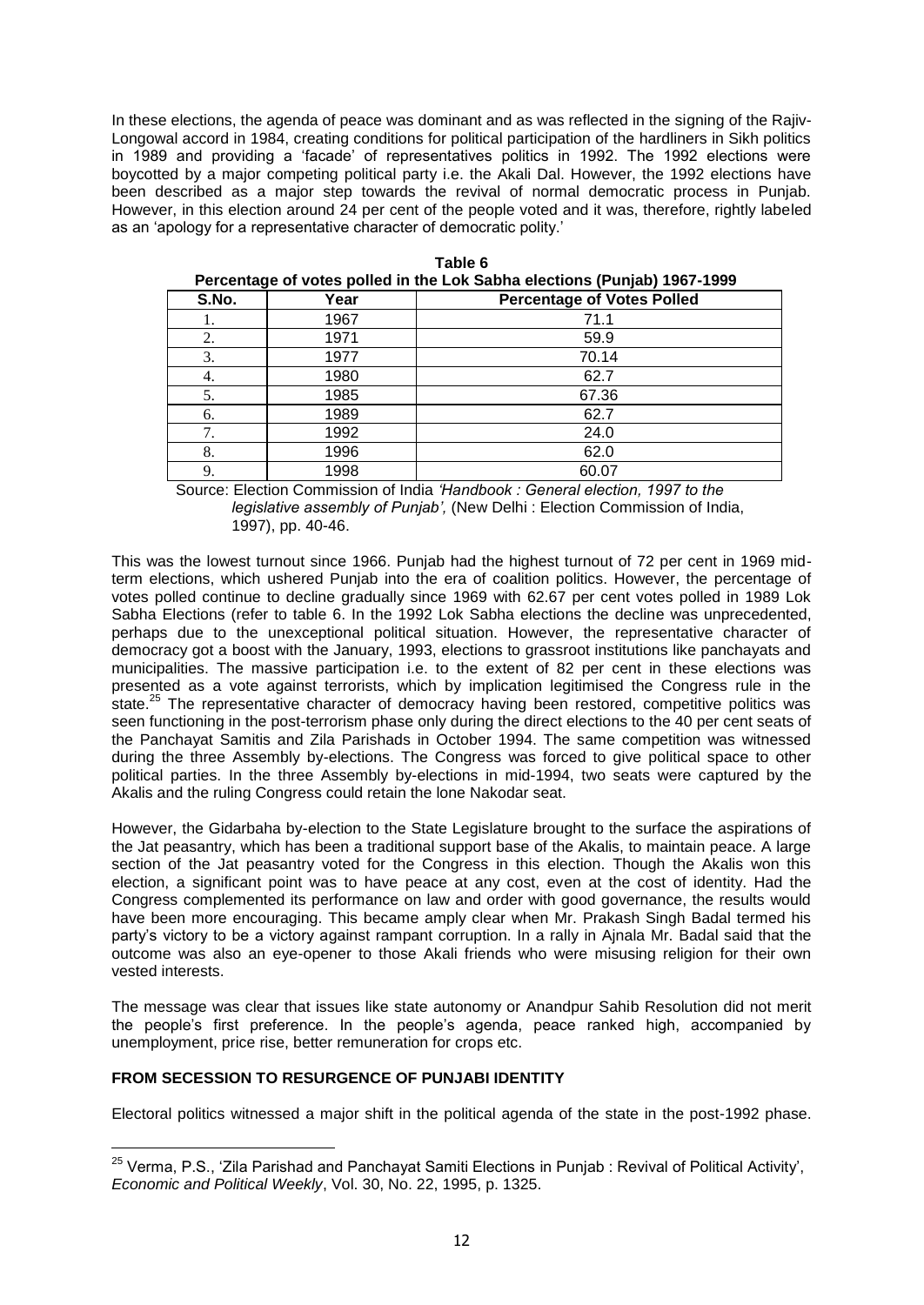In these elections, the agenda of peace was dominant and as was reflected in the signing of the Rajiv-Longowal accord in 1984, creating conditions for political participation of the hardliners in Sikh politics in 1989 and providing a 'facade' of representatives politics in 1992. The 1992 elections were boycotted by a major competing political party i.e. the Akali Dal. However, the 1992 elections have been described as a major step towards the revival of normal democratic process in Punjab. However, in this election around 24 per cent of the people voted and it was, therefore, rightly labeled as an 'apology for a representative character of democratic polity.'

|       | I Creditage of Yores policulii the Low Japha Clections (Funjab) 1907-1999 |                                   |  |  |  |  |  |
|-------|---------------------------------------------------------------------------|-----------------------------------|--|--|--|--|--|
| S.No. | Year                                                                      | <b>Percentage of Votes Polled</b> |  |  |  |  |  |
|       | 1967                                                                      | 71.1                              |  |  |  |  |  |
| 2.    | 1971                                                                      | 59.9                              |  |  |  |  |  |
| 3.    | 1977                                                                      | 70.14                             |  |  |  |  |  |
| 4.    | 1980                                                                      | 62.7                              |  |  |  |  |  |
| 5.    | 1985                                                                      | 67.36                             |  |  |  |  |  |
| 6.    | 1989                                                                      | 62.7                              |  |  |  |  |  |
| 7.    | 1992                                                                      | 24.0                              |  |  |  |  |  |
| 8.    | 1996                                                                      | 62.0                              |  |  |  |  |  |
| 9.    | 1998                                                                      | 60.07                             |  |  |  |  |  |

| Table 6                                                                  |
|--------------------------------------------------------------------------|
| Percentage of votes polled in the Lok Sabha elections (Punjab) 1967-1999 |

Source: Election Commission of India *'Handbook : General election, 1997 to the legislative assembly of Punjab',* (New Delhi : Election Commission of India, 1997), pp. 40-46.

This was the lowest turnout since 1966. Punjab had the highest turnout of 72 per cent in 1969 midterm elections, which ushered Punjab into the era of coalition politics. However, the percentage of votes polled continue to decline gradually since 1969 with 62.67 per cent votes polled in 1989 Lok Sabha Elections (refer to table 6. In the 1992 Lok Sabha elections the decline was unprecedented, perhaps due to the unexceptional political situation. However, the representative character of democracy got a boost with the January, 1993, elections to grassroot institutions like panchayats and municipalities. The massive participation i.e. to the extent of 82 per cent in these elections was presented as a vote against terrorists, which by implication legitimised the Congress rule in the state.<sup>25</sup> The representative character of democracy having been restored, competitive politics was seen functioning in the post-terrorism phase only during the direct elections to the 40 per cent seats of the Panchayat Samitis and Zila Parishads in October 1994. The same competition was witnessed during the three Assembly by-elections. The Congress was forced to give political space to other political parties. In the three Assembly by-elections in mid-1994, two seats were captured by the Akalis and the ruling Congress could retain the lone Nakodar seat.

However, the Gidarbaha by-election to the State Legislature brought to the surface the aspirations of the Jat peasantry, which has been a traditional support base of the Akalis, to maintain peace. A large section of the Jat peasantry voted for the Congress in this election. Though the Akalis won this election, a significant point was to have peace at any cost, even at the cost of identity. Had the Congress complemented its performance on law and order with good governance, the results would have been more encouraging. This became amply clear when Mr. Prakash Singh Badal termed his party's victory to be a victory against rampant corruption. In a rally in Ajnala Mr. Badal said that the outcome was also an eye-opener to those Akali friends who were misusing religion for their own vested interests.

The message was clear that issues like state autonomy or Anandpur Sahib Resolution did not merit the people's first preference. In the people's agenda, peace ranked high, accompanied by unemployment, price rise, better remuneration for crops etc.

## **FROM SECESSION TO RESURGENCE OF PUNJABI IDENTITY**

-

Electoral politics witnessed a major shift in the political agenda of the state in the post-1992 phase.

<sup>&</sup>lt;sup>25</sup> Verma, P.S., 'Zila Parishad and Panchayat Samiti Elections in Punjab : Revival of Political Activity', *Economic and Political Weekly*, Vol. 30, No. 22, 1995, p. 1325.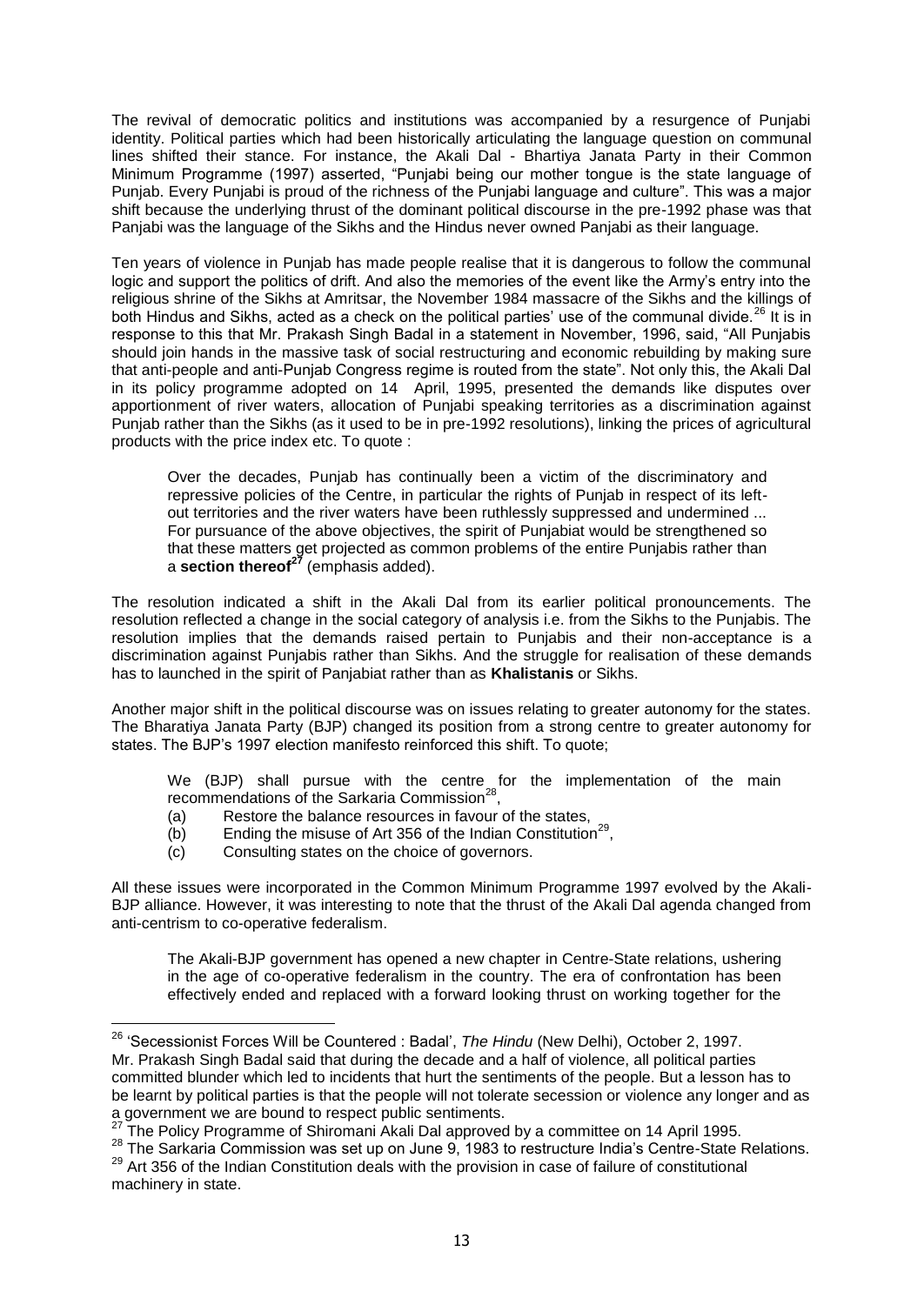The revival of democratic politics and institutions was accompanied by a resurgence of Punjabi identity. Political parties which had been historically articulating the language question on communal lines shifted their stance. For instance, the Akali Dal - Bhartiya Janata Party in their Common Minimum Programme (1997) asserted, "Punjabi being our mother tongue is the state language of Punjab. Every Punjabi is proud of the richness of the Punjabi language and culture". This was a major shift because the underlying thrust of the dominant political discourse in the pre-1992 phase was that Panjabi was the language of the Sikhs and the Hindus never owned Panjabi as their language.

Ten years of violence in Punjab has made people realise that it is dangerous to follow the communal logic and support the politics of drift. And also the memories of the event like the Army's entry into the religious shrine of the Sikhs at Amritsar, the November 1984 massacre of the Sikhs and the killings of both Hindus and Sikhs, acted as a check on the political parties' use of the communal divide.<sup>26</sup> It is in response to this that Mr. Prakash Singh Badal in a statement in November, 1996, said, "All Punjabis should join hands in the massive task of social restructuring and economic rebuilding by making sure that anti-people and anti-Punjab Congress regime is routed from the state". Not only this, the Akali Dal in its policy programme adopted on 14 April, 1995, presented the demands like disputes over apportionment of river waters, allocation of Punjabi speaking territories as a discrimination against Punjab rather than the Sikhs (as it used to be in pre-1992 resolutions), linking the prices of agricultural products with the price index etc. To quote :

Over the decades, Punjab has continually been a victim of the discriminatory and repressive policies of the Centre, in particular the rights of Punjab in respect of its leftout territories and the river waters have been ruthlessly suppressed and undermined ... For pursuance of the above objectives, the spirit of Punjabiat would be strengthened so that these matters get projected as common problems of the entire Punjabis rather than a **section thereof<sup>27</sup>** (emphasis added).

The resolution indicated a shift in the Akali Dal from its earlier political pronouncements. The resolution reflected a change in the social category of analysis i.e. from the Sikhs to the Punjabis. The resolution implies that the demands raised pertain to Punjabis and their non-acceptance is a discrimination against Punjabis rather than Sikhs. And the struggle for realisation of these demands has to launched in the spirit of Panjabiat rather than as **Khalistanis** or Sikhs.

Another major shift in the political discourse was on issues relating to greater autonomy for the states. The Bharatiya Janata Party (BJP) changed its position from a strong centre to greater autonomy for states. The BJP's 1997 election manifesto reinforced this shift. To quote;

We (BJP) shall pursue with the centre for the implementation of the main recommendations of the Sarkaria Commission<sup>28</sup>,

- (a) Restore the balance resources in favour of the states,
- $(b)$  Ending the misuse of Art 356 of the Indian Constitution<sup>29</sup>,
- (c) Consulting states on the choice of governors.

All these issues were incorporated in the Common Minimum Programme 1997 evolved by the Akali-BJP alliance. However, it was interesting to note that the thrust of the Akali Dal agenda changed from anti-centrism to co-operative federalism.

The Akali-BJP government has opened a new chapter in Centre-State relations, ushering in the age of co-operative federalism in the country. The era of confrontation has been effectively ended and replaced with a forward looking thrust on working together for the

<sup>&</sup>lt;sup>26</sup> 'Secessionist Forces Will be Countered : Badal', *The Hindu* (New Delhi), October 2, 1997. Mr. Prakash Singh Badal said that during the decade and a half of violence, all political parties committed blunder which led to incidents that hurt the sentiments of the people. But a lesson has to be learnt by political parties is that the people will not tolerate secession or violence any longer and as a government we are bound to respect public sentiments.

<sup>&</sup>lt;sup>2</sup><br>The Policy Programme of Shiromani Akali Dal approved by a committee on 14 April 1995.

<sup>&</sup>lt;sup>28</sup> The Sarkaria Commission was set up on June 9, 1983 to restructure India's Centre-State Relations.  $29$  Art 356 of the Indian Constitution deals with the provision in case of failure of constitutional

machinery in state.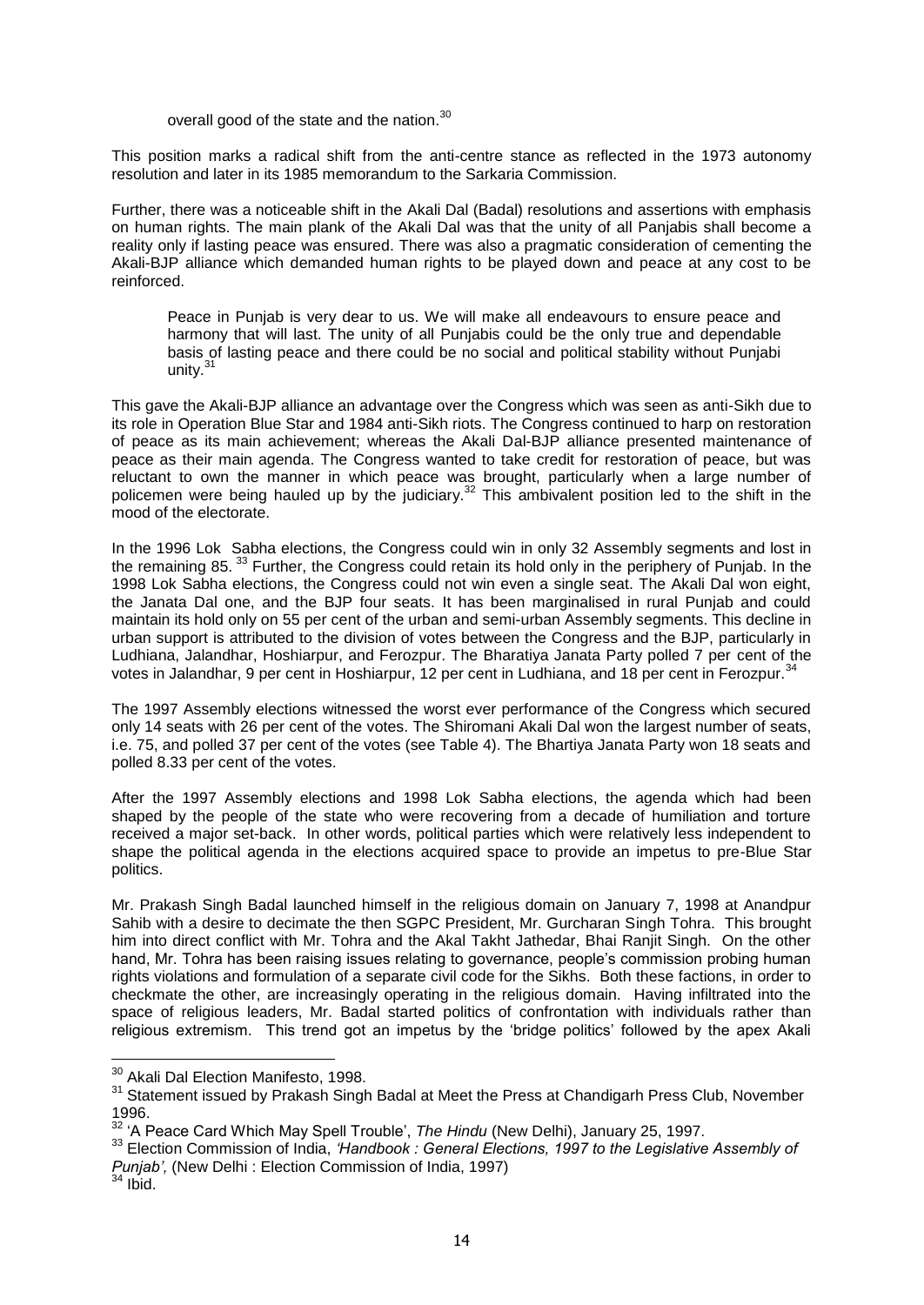overall good of the state and the nation.<sup>30</sup>

This position marks a radical shift from the anti-centre stance as reflected in the 1973 autonomy resolution and later in its 1985 memorandum to the Sarkaria Commission.

Further, there was a noticeable shift in the Akali Dal (Badal) resolutions and assertions with emphasis on human rights. The main plank of the Akali Dal was that the unity of all Panjabis shall become a reality only if lasting peace was ensured. There was also a pragmatic consideration of cementing the Akali-BJP alliance which demanded human rights to be played down and peace at any cost to be reinforced.

Peace in Punjab is very dear to us. We will make all endeavours to ensure peace and harmony that will last. The unity of all Punjabis could be the only true and dependable basis of lasting peace and there could be no social and political stability without Punjabi unity.<sup>31</sup>

This gave the Akali-BJP alliance an advantage over the Congress which was seen as anti-Sikh due to its role in Operation Blue Star and 1984 anti-Sikh riots. The Congress continued to harp on restoration of peace as its main achievement; whereas the Akali Dal-BJP alliance presented maintenance of peace as their main agenda. The Congress wanted to take credit for restoration of peace, but was reluctant to own the manner in which peace was brought, particularly when a large number of policemen were being hauled up by the judiciary.<sup>32</sup> This ambivalent position led to the shift in the mood of the electorate.

In the 1996 Lok Sabha elections, the Congress could win in only 32 Assembly segments and lost in the remaining 85.<sup>33</sup> Further, the Congress could retain its hold only in the periphery of Punjab. In the 1998 Lok Sabha elections, the Congress could not win even a single seat. The Akali Dal won eight, the Janata Dal one, and the BJP four seats. It has been marginalised in rural Punjab and could maintain its hold only on 55 per cent of the urban and semi-urban Assembly segments. This decline in urban support is attributed to the division of votes between the Congress and the BJP, particularly in Ludhiana, Jalandhar, Hoshiarpur, and Ferozpur. The Bharatiya Janata Party polled 7 per cent of the votes in Jalandhar, 9 per cent in Hoshiarpur, 12 per cent in Ludhiana, and 18 per cent in Ferozpur.<sup>34</sup>

The 1997 Assembly elections witnessed the worst ever performance of the Congress which secured only 14 seats with 26 per cent of the votes. The Shiromani Akali Dal won the largest number of seats, i.e. 75, and polled 37 per cent of the votes (see Table 4). The Bhartiya Janata Party won 18 seats and polled 8.33 per cent of the votes.

After the 1997 Assembly elections and 1998 Lok Sabha elections, the agenda which had been shaped by the people of the state who were recovering from a decade of humiliation and torture received a major set-back. In other words, political parties which were relatively less independent to shape the political agenda in the elections acquired space to provide an impetus to pre-Blue Star politics.

Mr. Prakash Singh Badal launched himself in the religious domain on January 7, 1998 at Anandpur Sahib with a desire to decimate the then SGPC President, Mr. Gurcharan Singh Tohra. This brought him into direct conflict with Mr. Tohra and the Akal Takht Jathedar, Bhai Ranjit Singh. On the other hand, Mr. Tohra has been raising issues relating to governance, people's commission probing human rights violations and formulation of a separate civil code for the Sikhs. Both these factions, in order to checkmate the other, are increasingly operating in the religious domain. Having infiltrated into the space of religious leaders, Mr. Badal started politics of confrontation with individuals rather than religious extremism. This trend got an impetus by the 'bridge politics' followed by the apex Akali

<sup>&</sup>lt;sup>30</sup> Akali Dal Election Manifesto, 1998.

<sup>&</sup>lt;sup>31</sup> Statement issued by Prakash Singh Badal at Meet the Press at Chandigarh Press Club, November 1996.

<sup>32</sup> ‗A Peace Card Which May Spell Trouble', *The Hindu* (New Delhi), January 25, 1997.

<sup>&</sup>lt;sup>33</sup> Election Commission of India, *'Handbook : General Elections, 1997 to the Legislative Assembly of Punjab',* (New Delhi : Election Commission of India, 1997)

 $34$  Ibid.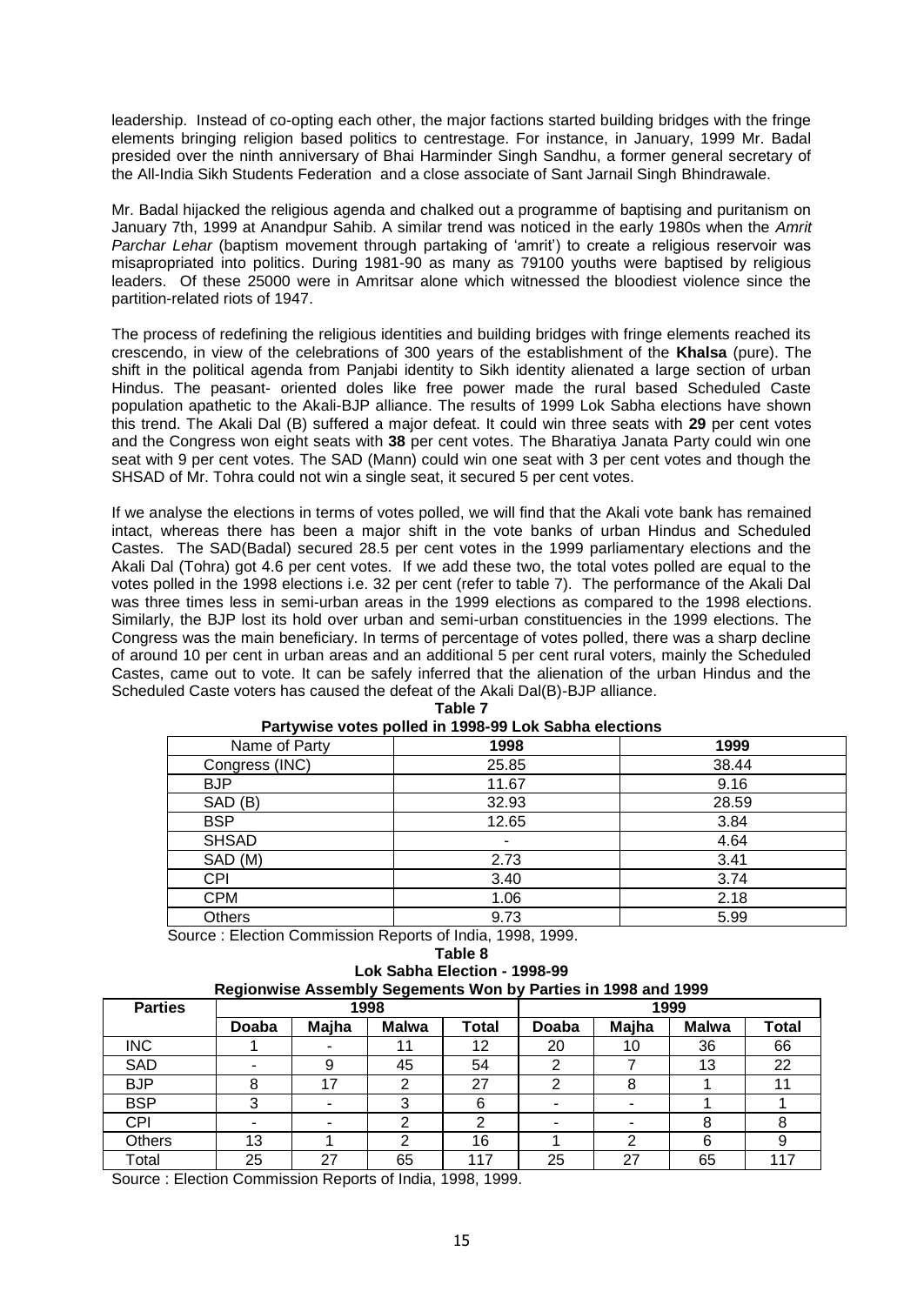leadership. Instead of co-opting each other, the major factions started building bridges with the fringe elements bringing religion based politics to centrestage. For instance, in January, 1999 Mr. Badal presided over the ninth anniversary of Bhai Harminder Singh Sandhu, a former general secretary of the All-India Sikh Students Federation and a close associate of Sant Jarnail Singh Bhindrawale.

Mr. Badal hijacked the religious agenda and chalked out a programme of baptising and puritanism on January 7th, 1999 at Anandpur Sahib. A similar trend was noticed in the early 1980s when the *Amrit*  Parchar Lehar (baptism movement through partaking of 'amrit') to create a religious reservoir was misapropriated into politics. During 1981-90 as many as 79100 youths were baptised by religious leaders. Of these 25000 were in Amritsar alone which witnessed the bloodiest violence since the partition-related riots of 1947.

The process of redefining the religious identities and building bridges with fringe elements reached its crescendo, in view of the celebrations of 300 years of the establishment of the **Khalsa** (pure). The shift in the political agenda from Panjabi identity to Sikh identity alienated a large section of urban Hindus. The peasant- oriented doles like free power made the rural based Scheduled Caste population apathetic to the Akali-BJP alliance. The results of 1999 Lok Sabha elections have shown this trend. The Akali Dal (B) suffered a major defeat. It could win three seats with **29** per cent votes and the Congress won eight seats with **38** per cent votes. The Bharatiya Janata Party could win one seat with 9 per cent votes. The SAD (Mann) could win one seat with 3 per cent votes and though the SHSAD of Mr. Tohra could not win a single seat, it secured 5 per cent votes.

If we analyse the elections in terms of votes polled, we will find that the Akali vote bank has remained intact, whereas there has been a major shift in the vote banks of urban Hindus and Scheduled Castes. The SAD(Badal) secured 28.5 per cent votes in the 1999 parliamentary elections and the Akali Dal (Tohra) got 4.6 per cent votes. If we add these two, the total votes polled are equal to the votes polled in the 1998 elections i.e. 32 per cent (refer to table 7). The performance of the Akali Dal was three times less in semi-urban areas in the 1999 elections as compared to the 1998 elections. Similarly, the BJP lost its hold over urban and semi-urban constituencies in the 1999 elections. The Congress was the main beneficiary. In terms of percentage of votes polled, there was a sharp decline of around 10 per cent in urban areas and an additional 5 per cent rural voters, mainly the Scheduled Castes, came out to vote. It can be safely inferred that the alienation of the urban Hindus and the Scheduled Caste voters has caused the defeat of the Akali Dal(B)-BJP alliance.

| <b>I ditywise votes policu III 1990-99 LOR Odbild elections</b> |       |  |  |  |  |  |  |  |
|-----------------------------------------------------------------|-------|--|--|--|--|--|--|--|
| 1998                                                            | 1999  |  |  |  |  |  |  |  |
| 25.85                                                           | 38.44 |  |  |  |  |  |  |  |
| 11.67                                                           | 9.16  |  |  |  |  |  |  |  |
| 32.93                                                           | 28.59 |  |  |  |  |  |  |  |
| 12.65                                                           | 3.84  |  |  |  |  |  |  |  |
| ۰                                                               | 4.64  |  |  |  |  |  |  |  |
| 2.73                                                            | 3.41  |  |  |  |  |  |  |  |
| 3.40                                                            | 3.74  |  |  |  |  |  |  |  |
| 1.06                                                            | 2.18  |  |  |  |  |  |  |  |
| 9.73                                                            | 5.99  |  |  |  |  |  |  |  |
|                                                                 |       |  |  |  |  |  |  |  |

**Table 7 Partywise votes polled in 1998-99 Lok Sabha elections**

Source : Election Commission Reports of India, 1998, 1999.

**Table 8**

| Lok Sabha Election - 1998-99                                         |  |  |  |  |  |  |  |
|----------------------------------------------------------------------|--|--|--|--|--|--|--|
| <b>Regionwise Assembly Segements Won by Parties in 1998 and 1999</b> |  |  |  |  |  |  |  |

| <b>Parties</b> | ັ<br>- - <del>- -</del><br>1998 |       |              |              | 1999  |       |              |              |
|----------------|---------------------------------|-------|--------------|--------------|-------|-------|--------------|--------------|
|                | Doaba                           | Majha | <b>Malwa</b> | <b>Total</b> | Doaba | Majha | <b>Malwa</b> | <b>Total</b> |
| <b>INC</b>     |                                 |       |              | 12           | 20    | 10    | 36           | 66           |
| <b>SAD</b>     |                                 | 9     | 45           | 54           | ◠     |       | 13           | 22           |
| <b>BJP</b>     |                                 | 17    | ◠            | 27           | ົ     |       |              | 11           |
| <b>BSP</b>     |                                 |       |              | 6            |       |       |              |              |
| <b>CPI</b>     |                                 | -     |              | ⌒            |       |       |              |              |
| <b>Others</b>  | 13                              |       |              | 16           |       |       | 6            |              |
| Total          | 25                              | 27    | 65           | 117          | 25    | 27    | 65           | 117          |

Source : Election Commission Reports of India, 1998, 1999.